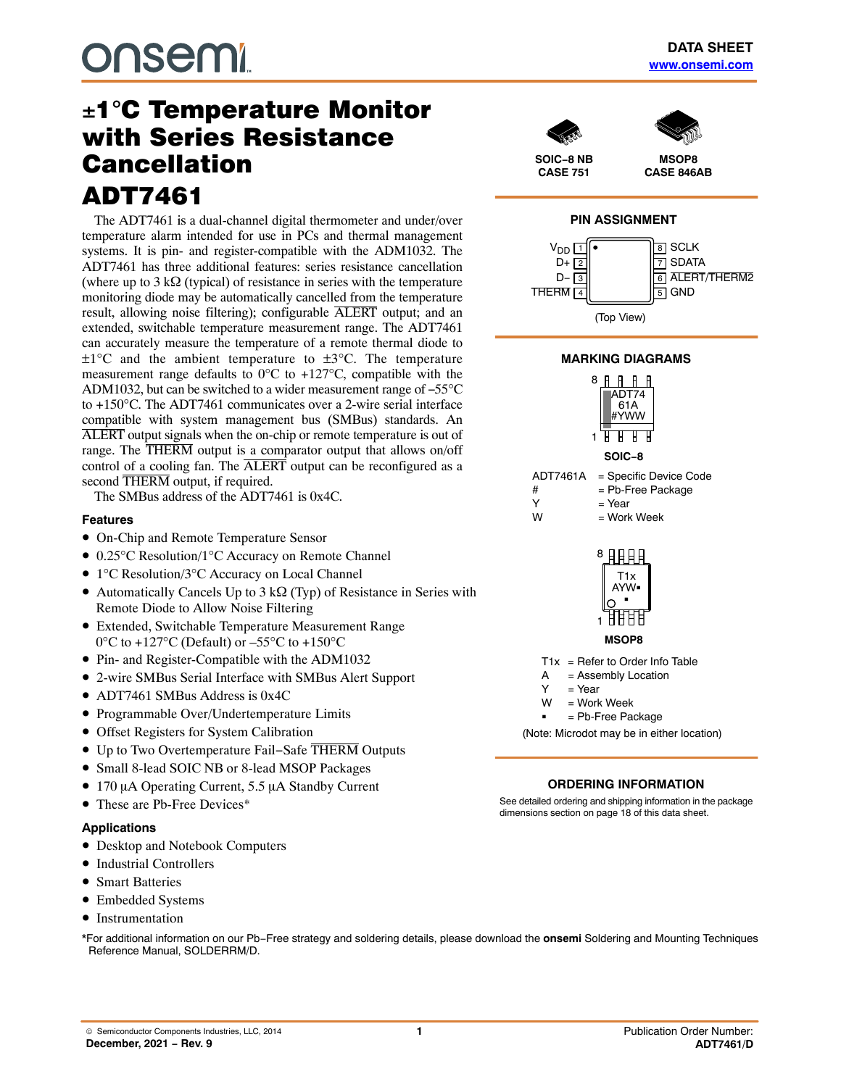# -1C Temperature Monitor with Series Resistance Cancellation ADT7461

The ADT7461 is a dual-channel digital thermometer and under/over temperature alarm intended for use in PCs and thermal management systems. It is pin- and register-compatible with the ADM1032. The ADT7461 has three additional features: series resistance cancellation (where up to 3 k $\Omega$  (typical) of resistance in series with the temperature monitoring diode may be automatically cancelled from the temperature result, allowing noise filtering); configurable ALERT output; and an extended, switchable temperature measurement range. The ADT7461 can accurately measure the temperature of a remote thermal diode to  $\pm 1^{\circ}$ C and the ambient temperature to  $\pm 3^{\circ}$ C. The temperature measurement range defaults to  $0^{\circ}$ C to +127 $^{\circ}$ C, compatible with the ADM1032, but can be switched to a wider measurement range of −55°C to +150°C. The ADT7461 communicates over a 2-wire serial interface compatible with system management bus (SMBus) standards. An ALERT output signals when the on-chip or remote temperature is out of range. The THERM output is a comparator output that allows on/off control of a cooling fan. The ALERT output can be reconfigured as a second THERM output, if required.

The SMBus address of the ADT7461 is 0x4C.

### **Features**

- On-Chip and Remote Temperature Sensor
- 0.25°C Resolution/1°C Accuracy on Remote Channel
- 1°C Resolution/3°C Accuracy on Local Channel
- Automatically Cancels Up to 3 k $\Omega$  (Typ) of Resistance in Series with Remote Diode to Allow Noise Filtering
- Extended, Switchable Temperature Measurement Range  $0^{\circ}$ C to +127°C (Default) or  $-55^{\circ}$ C to +150°C
- Pin- and Register-Compatible with the ADM1032
- 2-wire SMBus Serial Interface with SMBus Alert Support
- ADT7461 SMBus Address is 0x4C
- Programmable Over/Undertemperature Limits
- Offset Registers for System Calibration
- Up to Two Overtemperature Fail−Safe THERM Outputs
- Small 8-lead SOIC NB or 8-lead MSOP Packages
- 170  $\mu$ A Operating Current, 5.5  $\mu$ A Standby Current
- These are Pb-Free Devices<sup>\*</sup>

#### **Applications**

- Desktop and Notebook Computers
- Industrial Controllers
- Smart Batteries
- Embedded Systems
- Instrumentation

\*For additional information on our Pb−Free strategy and soldering details, please download the **onsemi** Soldering and Mounting Techniques Reference Manual, SOLDERRM/D.





**MSOP8 CASE 846AB**





# **MARKING DIAGRAMS**





**MSOP8**

 $T1x =$  Refer to Order Info Table

- $A =$  Assembly Location<br>  $Y =$  Year
- $=$  Year
- W = Work Week -

= Pb-Free Package

(Note: Microdot may be in either location)

#### **ORDERING INFORMATION**

See detailed ordering and shipping information in the package dimensions section on page [18](#page-17-0) of this data sheet.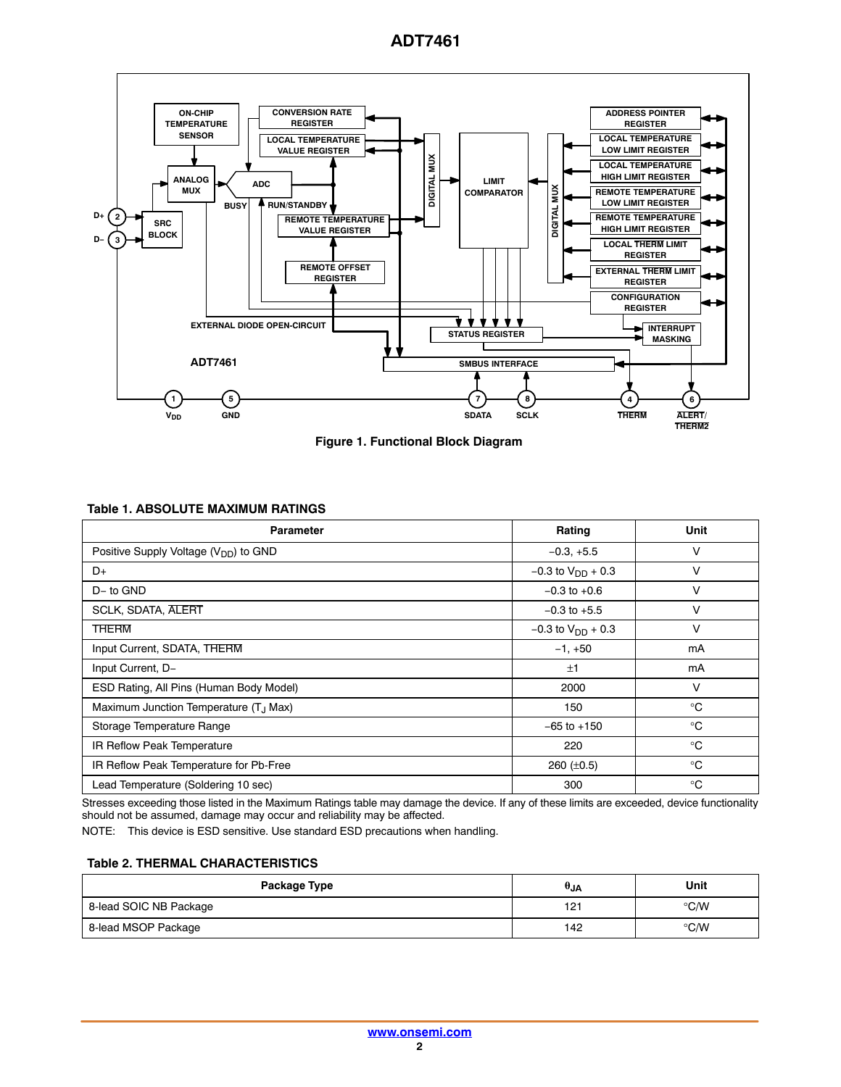

**Figure 1. Functional Block Diagram**

### **Table 1. ABSOLUTE MAXIMUM RATINGS**

| <b>Parameter</b>                                   | Rating                   | Unit        |
|----------------------------------------------------|--------------------------|-------------|
| Positive Supply Voltage $(V_{DD})$ to GND          | $-0.3, +5.5$             | ν           |
| D+                                                 | $-0.3$ to $V_{DD}$ + 0.3 | $\vee$      |
| D-to GND                                           | $-0.3$ to $+0.6$         | ν           |
| <b>SCLK, SDATA, ALERT</b>                          | $-0.3$ to $+5.5$         | ν           |
| <b>THERM</b>                                       | $-0.3$ to $V_{DD}$ + 0.3 | v           |
| Input Current, SDATA, THERM                        | $-1, +50$                | mA          |
| Input Current, D-                                  | ±1                       | mA          |
| ESD Rating, All Pins (Human Body Model)            | 2000                     | V           |
| Maximum Junction Temperature (T <sub>.I</sub> Max) | 150                      | $^{\circ}C$ |
| Storage Temperature Range                          | $-65$ to $+150$          | $^{\circ}C$ |
| IR Reflow Peak Temperature                         | 220                      | $^{\circ}C$ |
| IR Reflow Peak Temperature for Pb-Free             | 260 $(\pm 0.5)$          | $^{\circ}C$ |
| Lead Temperature (Soldering 10 sec)                | 300                      | $^{\circ}C$ |

Stresses exceeding those listed in the Maximum Ratings table may damage the device. If any of these limits are exceeded, device functionality should not be assumed, damage may occur and reliability may be affected.

NOTE: This device is ESD sensitive. Use standard ESD precautions when handling.

#### **Table 2. THERMAL CHARACTERISTICS**

| Package Type           | $\theta_{\mathsf{JA}}$ | Unit               |
|------------------------|------------------------|--------------------|
| 8-lead SOIC NB Package | 121                    | $\rm ^{\circ}$ C/W |
| 8-lead MSOP Package    | 142                    | $\degree$ C/W      |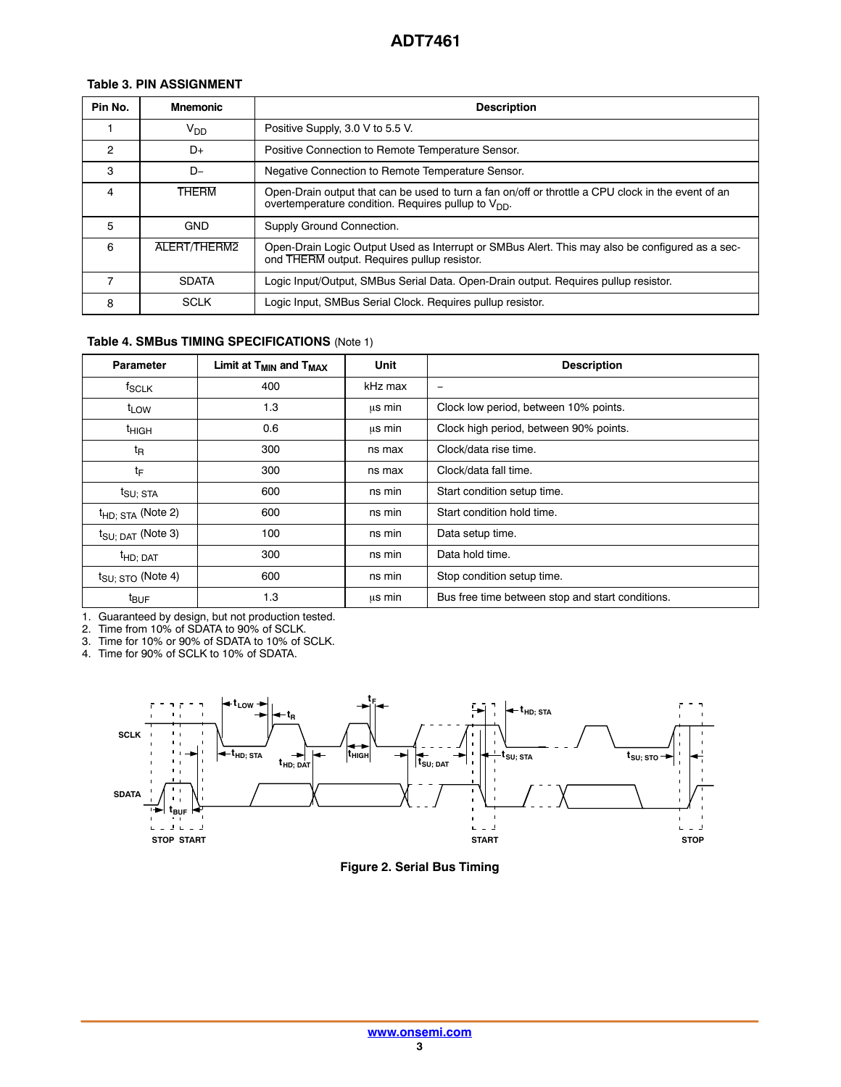# **Table 3. PIN ASSIGNMENT**

| Pin No.        | <b>Mnemonic</b> | <b>Description</b>                                                                                                                                             |
|----------------|-----------------|----------------------------------------------------------------------------------------------------------------------------------------------------------------|
|                | V <sub>DD</sub> | Positive Supply, 3.0 V to 5.5 V.                                                                                                                               |
| $\mathfrak{p}$ | D+              | Positive Connection to Remote Temperature Sensor.                                                                                                              |
| 3              | $D-$            | Negative Connection to Remote Temperature Sensor.                                                                                                              |
| 4              | <b>THERM</b>    | Open-Drain output that can be used to turn a fan on/off or throttle a CPU clock in the event of an<br>overtemperature condition. Requires pullup to $V_{DD}$ . |
| 5              | <b>GND</b>      | Supply Ground Connection.                                                                                                                                      |
| 6              | ALERT/THERM2    | Open-Drain Logic Output Used as Interrupt or SMBus Alert. This may also be configured as a sec-<br>ond THERM output. Requires pullup resistor.                 |
|                | <b>SDATA</b>    | Logic Input/Output, SMBus Serial Data. Open-Drain output. Requires pullup resistor.                                                                            |
| 8              | <b>SCLK</b>     | Logic Input, SMBus Serial Clock. Requires pullup resistor.                                                                                                     |

# **Table 4. SMBus TIMING SPECIFICATIONS** (Note 1)

| <b>Parameter</b>                        | Limit at T <sub>MIN</sub> and T <sub>MAX</sub> | Unit    | <b>Description</b>                               |
|-----------------------------------------|------------------------------------------------|---------|--------------------------------------------------|
| $t_{SCLK}$                              | 400                                            | kHz max | $\overline{\phantom{0}}$                         |
| t <sub>LOW</sub>                        | 1.3                                            | us min  | Clock low period, between 10% points.            |
| <sup>t</sup> HIGH                       | 0.6                                            | us min  | Clock high period, between 90% points.           |
| t <sub>R</sub>                          | 300                                            | ns max  | Clock/data rise time.                            |
| tF                                      | 300                                            | ns max  | Clock/data fall time.                            |
| t <sub>SU; STA</sub>                    | 600                                            | ns min  | Start condition setup time.                      |
| $t_{HD;STA}$ (Note 2)                   | 600                                            | ns min  | Start condition hold time.                       |
| $t_{\text{SU}$ ; $\text{DAT}}$ (Note 3) | 100                                            | ns min  | Data setup time.                                 |
| <sup>t</sup> HD; DAT                    | 300                                            | ns min  | Data hold time.                                  |
| $t_{\text{SU};\; \text{STO}}$ (Note 4)  | 600                                            | ns min  | Stop condition setup time.                       |
| <sup>t</sup> BUF                        | 1.3                                            | μs min  | Bus free time between stop and start conditions. |

1. Guaranteed by design, but not production tested.

2. Time from 10% of SDATA to 90% of SCLK.

3. Time for 10% or 90% of SDATA to 10% of SCLK.

4. Time for 90% of SCLK to 10% of SDATA.



**Figure 2. Serial Bus Timing**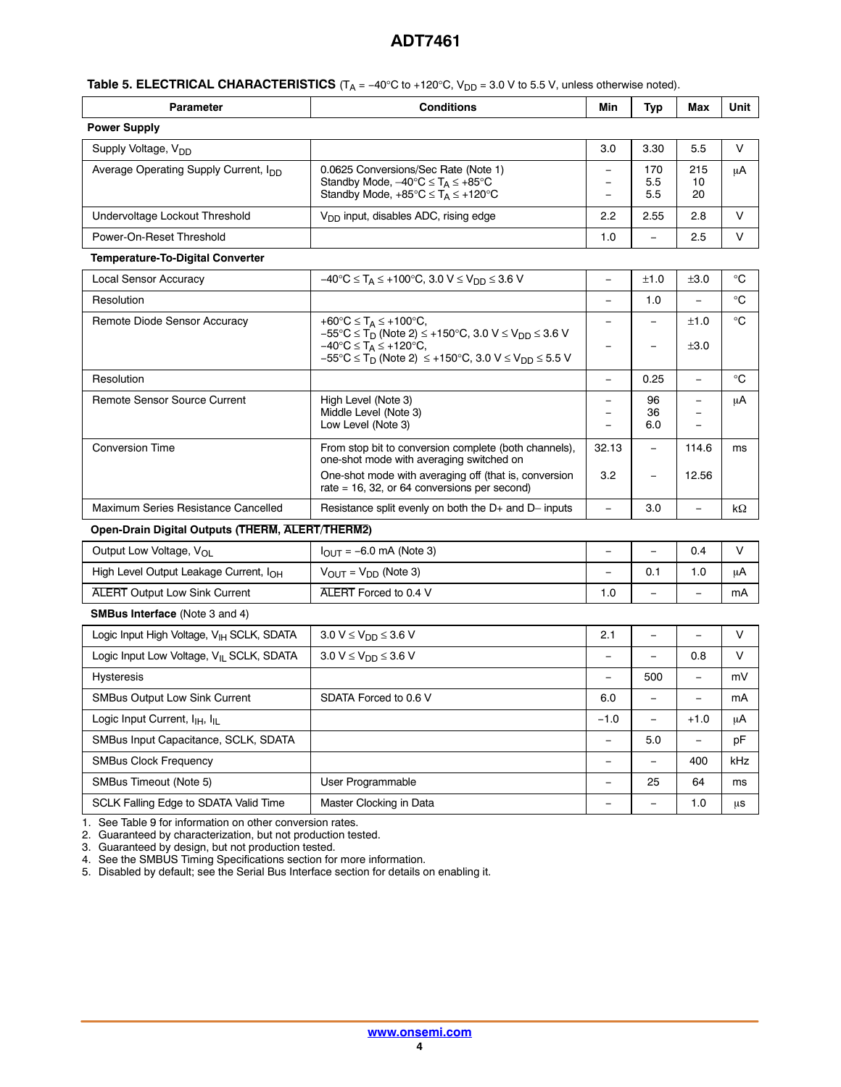|  | <b>Table 5. ELECTRICAL CHARACTERISTICS</b> ( $T_A = -40^\circ \text{C}$ to +120 $^\circ \text{C}$ , $V_{DD} = 3.0 \text{ V}$ to 5.5 V, unless otherwise noted). |
|--|-----------------------------------------------------------------------------------------------------------------------------------------------------------------|
|--|-----------------------------------------------------------------------------------------------------------------------------------------------------------------|

| <b>Parameter</b>                                  | <b>Conditions</b>                                                                                                                                           | Min | Typ               | Max             | Unit |
|---------------------------------------------------|-------------------------------------------------------------------------------------------------------------------------------------------------------------|-----|-------------------|-----------------|------|
| <b>Power Supply</b>                               |                                                                                                                                                             |     |                   |                 |      |
| Supply Voltage, V <sub>DD</sub>                   |                                                                                                                                                             | 3.0 | 3.30              | 5.5             | ν    |
| Average Operating Supply Current, I <sub>DD</sub> | 0.0625 Conversions/Sec Rate (Note 1)<br>Standby Mode, $-40^{\circ}C \leq T_A \leq +85^{\circ}C$<br>Standby Mode, $+85^{\circ}C \leq T_A \leq +120^{\circ}C$ |     | 170<br>5.5<br>5.5 | 215<br>10<br>20 | μA   |
| Undervoltage Lockout Threshold                    | $V_{DD}$ input, disables ADC, rising edge                                                                                                                   | 2.2 | 2.55              | 2.8             | v    |
| Power-On-Reset Threshold                          |                                                                                                                                                             | 1.0 | -                 | 2.5             | ν    |
| Temperature-To-Digital Converter                  |                                                                                                                                                             |     |                   |                 |      |

| <b>Local Sensor Accuracy</b>        | $-40^{\circ}$ C $\leq$ T <sub>A</sub> $\leq$ +100°C, 3.0 V $\leq$ V <sub>DD</sub> $\leq$ 3.6 V                                                                                        |       | ±1.0            | ±3.0  | $^{\circ}C$ |
|-------------------------------------|---------------------------------------------------------------------------------------------------------------------------------------------------------------------------------------|-------|-----------------|-------|-------------|
| Resolution                          |                                                                                                                                                                                       |       | 1.0             |       | $^{\circ}C$ |
| Remote Diode Sensor Accuracy        | +60°C $\leq$ T <sub>A</sub> $\leq$ +100°C,<br>$-55^{\circ}$ C ≤ T <sub>D</sub> (Note 2) ≤ +150°C, 3.0 V ≤ V <sub>DD</sub> ≤ 3.6 V                                                     |       |                 | ±1.0  | $^{\circ}C$ |
|                                     | $-40^{\circ}$ C $\leq$ T <sub>A</sub> $\leq$ +120 $^{\circ}$ C,<br>$-55^{\circ}$ C $\leq$ T <sub>D</sub> (Note 2) $\leq$ +150 $^{\circ}$ C, 3.0 V $\leq$ V <sub>DD</sub> $\leq$ 5.5 V |       |                 | ±3.0  |             |
| Resolution                          |                                                                                                                                                                                       |       | 0.25            |       | $^{\circ}C$ |
| Remote Sensor Source Current        | High Level (Note 3)<br>Middle Level (Note 3)<br>Low Level (Note 3)                                                                                                                    |       | 96<br>36<br>6.0 |       | μA          |
| <b>Conversion Time</b>              | From stop bit to conversion complete (both channels),<br>one-shot mode with averaging switched on                                                                                     | 32.13 |                 | 114.6 | ms          |
|                                     | One-shot mode with averaging off (that is, conversion<br>rate = 16, 32, or 64 conversions per second)                                                                                 | 3.2   |                 | 12.56 |             |
| Maximum Series Resistance Cancelled | Resistance split evenly on both the $D+$ and $D-$ inputs                                                                                                                              |       | 3.0             | -     | kΩ          |

#### **Open-Drain Digital Outputs (THERM, ALERT/THERM2)**

| Output Low Voltage, V <sub>OL</sub>                | $I_{\text{OUT}} = -6.0 \text{ mA}$ (Note 3) |      |    |      |    |
|----------------------------------------------------|---------------------------------------------|------|----|------|----|
| High Level Output Leakage Current, I <sub>OH</sub> | $V_{OUT} = V_{DD}$ (Note 3)                 |      | v. | 0. ا | uA |
| <b>ALERT Output Low Sink Current</b>               | ALERT Forced to 0.4 V                       | 0. ا | -  | -    | mA |

**SMBus Interface** (Note 3 and 4)

| Logic Input High Voltage, V <sub>IH</sub> SCLK, SDATA  | $3.0 V \le V_{DD} \le 3.6 V$ | 2.1    |                          |        | ν   |
|--------------------------------------------------------|------------------------------|--------|--------------------------|--------|-----|
| Logic Input Low Voltage, V <sub>II</sub> SCLK, SDATA   | $3.0 V \le V_{DD} \le 3.6 V$ |        |                          | 0.8    | ν   |
| <b>Hysteresis</b>                                      |                              |        | 500                      | -      | mV  |
| <b>SMBus Output Low Sink Current</b>                   | SDATA Forced to 0.6 V        | 6.0    |                          | -      | mA  |
| Logic Input Current, I <sub>IH</sub> , I <sub>II</sub> |                              | $-1.0$ | $\overline{\phantom{0}}$ | $+1.0$ | μA  |
| SMBus Input Capacitance, SCLK, SDATA                   |                              |        | 5.0                      | -      | pF  |
| <b>SMBus Clock Frequency</b>                           |                              |        |                          | 400    | kHz |
| SMBus Timeout (Note 5)                                 | User Programmable            |        | 25                       | 64     | ms  |
| SCLK Falling Edge to SDATA Valid Time                  | Master Clocking in Data      |        | -                        | 1.0    | us  |

1. See Table [9](#page-9-0) for information on other conversion rates.

2. Guaranteed by characterization, but not production tested.

3. Guaranteed by design, but not production tested.

4. See the SMBUS Timing Specifications section for more information.

5. Disabled by default; see the Serial Bus Interface section for details on enabling it.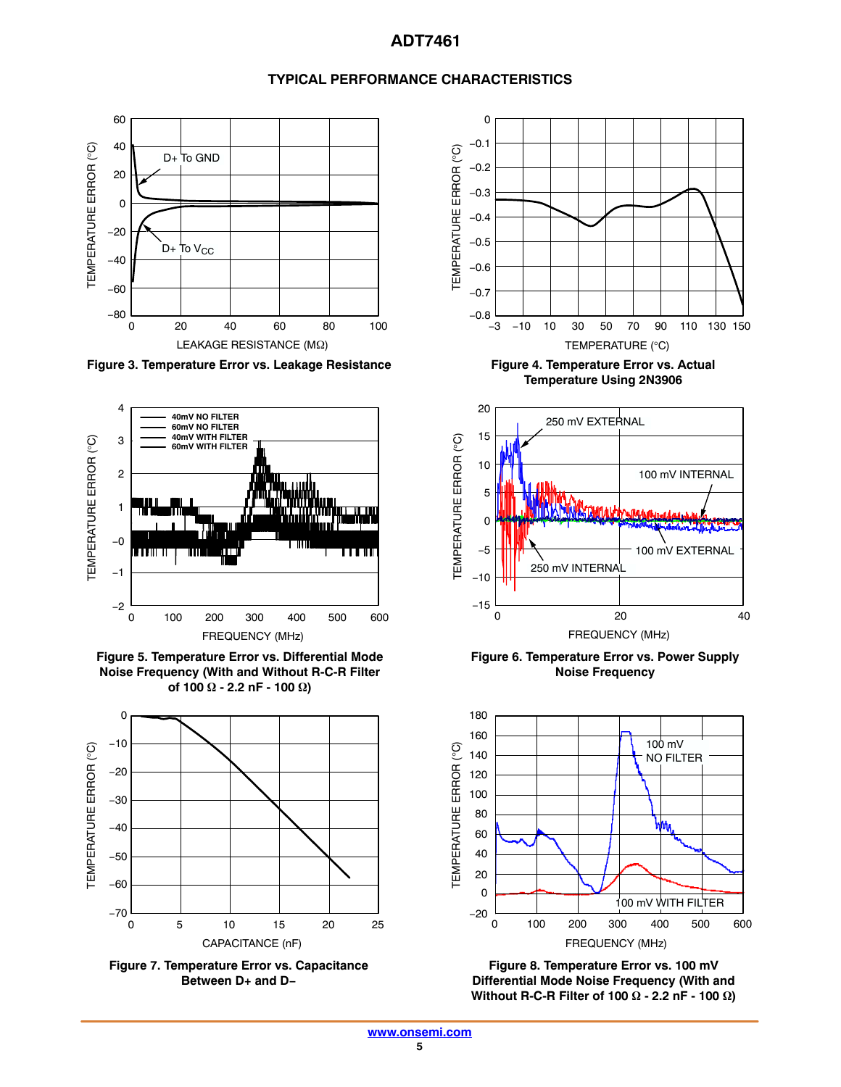# **TYPICAL PERFORMANCE CHARACTERISTICS**



Figure 3. Temperature Error vs. Leakage Resistance **Figure 4. Temperature Error vs. Actual** 







**Between D+ and D−**



**Temperature Using 2N3906**



**Figure 6. Temperature Error vs. Power Supply Noise Frequency**



**Figure 8. Temperature Error vs. 100 mV Differential Mode Noise Frequency (With and Without R-C-R Filter of 100 Ω - 2.2 nF - 100 Ω)**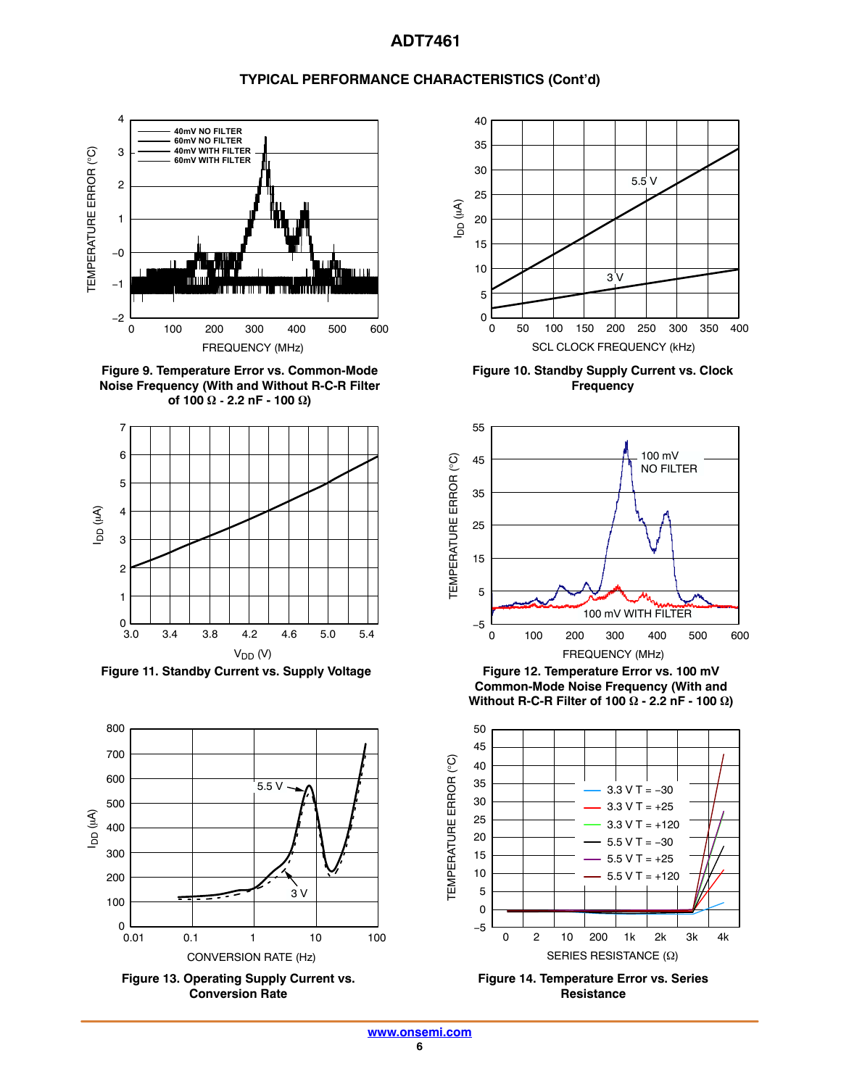# **TYPICAL PERFORMANCE CHARACTERISTICS (Cont'd)**



**Figure 9. Temperature Error vs. Common-Mode Noise Frequency (With and Without R-C-R Filter of 100**  $\Omega$  - 2.2 nF - 100  $\Omega$ )



Figure 11. Standby Current vs. Supply Voltage Figure 12. Temperature Error vs. 100 mV









**Figure 10. Standby Supply Current vs. Clock Frequency**



**Common-Mode Noise Frequency (With and** Without R-C-R Filter of 100  $\Omega$  - 2.2 nF - 100  $\Omega$ )



**Figure 14. Temperature Error vs. Series Resistance**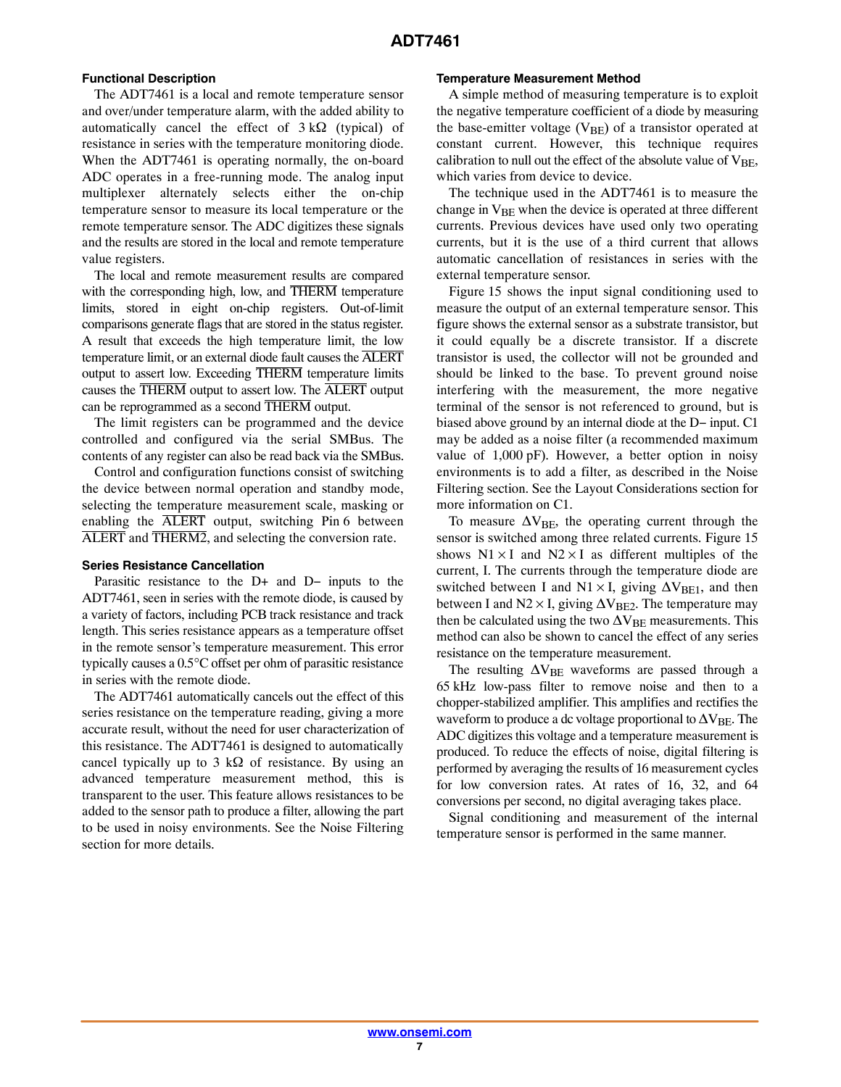# **Functional Description**

The ADT7461 is a local and remote temperature sensor and over/under temperature alarm, with the added ability to automatically cancel the effect of  $3 k\Omega$  (typical) of resistance in series with the temperature monitoring diode. When the ADT7461 is operating normally, the on-board ADC operates in a free-running mode. The analog input multiplexer alternately selects either the on-chip temperature sensor to measure its local temperature or the remote temperature sensor. The ADC digitizes these signals and the results are stored in the local and remote temperature value registers.

The local and remote measurement results are compared with the corresponding high, low, and THERM temperature limits, stored in eight on-chip registers. Out-of-limit comparisons generate flags that are stored in the status register. A result that exceeds the high temperature limit, the low temperature limit, or an external diode fault causes the ALERT output to assert low. Exceeding THERM temperature limits causes the THERM output to assert low. The ALERT output can be reprogrammed as a second THERM output.

The limit registers can be programmed and the device controlled and configured via the serial SMBus. The contents of any register can also be read back via the SMBus.

Control and configuration functions consist of switching the device between normal operation and standby mode, selecting the temperature measurement scale, masking or enabling the ALERT output, switching Pin 6 between ALERT and THERM2, and selecting the conversion rate.

#### **Series Resistance Cancellation**

Parasitic resistance to the D+ and D− inputs to the ADT7461, seen in series with the remote diode, is caused by a variety of factors, including PCB track resistance and track length. This series resistance appears as a temperature offset in the remote sensor's temperature measurement. This error typically causes a 0.5°C offset per ohm of parasitic resistance in series with the remote diode.

The ADT7461 automatically cancels out the effect of this series resistance on the temperature reading, giving a more accurate result, without the need for user characterization of this resistance. The ADT7461 is designed to automatically cancel typically up to 3 k $\Omega$  of resistance. By using an advanced temperature measurement method, this is transparent to the user. This feature allows resistances to be added to the sensor path to produce a filter, allowing the part to be used in noisy environments. See the Noise Filtering section for more details.

#### **Temperature Measurement Method**

A simple method of measuring temperature is to exploit the negative temperature coefficient of a diode by measuring the base-emitter voltage  $(V<sub>BE</sub>)$  of a transistor operated at constant current. However, this technique requires calibration to null out the effect of the absolute value of  $V_{BF}$ , which varies from device to device.

The technique used in the ADT7461 is to measure the change in V<sub>BE</sub> when the device is operated at three different currents. Previous devices have used only two operating currents, but it is the use of a third current that allows automatic cancellation of resistances in series with the external temperature sensor.

Figure [15](#page-7-0) shows the input signal conditioning used to measure the output of an external temperature sensor. This figure shows the external sensor as a substrate transistor, but it could equally be a discrete transistor. If a discrete transistor is used, the collector will not be grounded and should be linked to the base. To prevent ground noise interfering with the measurement, the more negative terminal of the sensor is not referenced to ground, but is biased above ground by an internal diode at the D− input. C1 may be added as a noise filter (a recommended maximum value of 1,000 pF). However, a better option in noisy environments is to add a filter, as described in the Noise Filtering section. See the Layout Considerations section for more information on C1.

To measure  $\Delta V_{BE}$ , the operating current through the sensor is switched among three related currents. Figure [15](#page-7-0) shows  $N1 \times I$  and  $N2 \times I$  as different multiples of the current, I. The currents through the temperature diode are switched between I and  $N1 \times I$ , giving  $\Delta V_{BE1}$ , and then between I and  $N2 \times I$ , giving  $\Delta V_{BE2}$ . The temperature may then be calculated using the two  $\Delta V_{BE}$  measurements. This method can also be shown to cancel the effect of any series resistance on the temperature measurement.

The resulting  $\Delta V_{BE}$  waveforms are passed through a 65 kHz low-pass filter to remove noise and then to a chopper-stabilized amplifier. This amplifies and rectifies the waveform to produce a dc voltage proportional to  $\Delta V_{\rm BE}$ . The ADC digitizes this voltage and a temperature measurement is produced. To reduce the effects of noise, digital filtering is performed by averaging the results of 16 measurement cycles for low conversion rates. At rates of 16, 32, and 64 conversions per second, no digital averaging takes place.

Signal conditioning and measurement of the internal temperature sensor is performed in the same manner.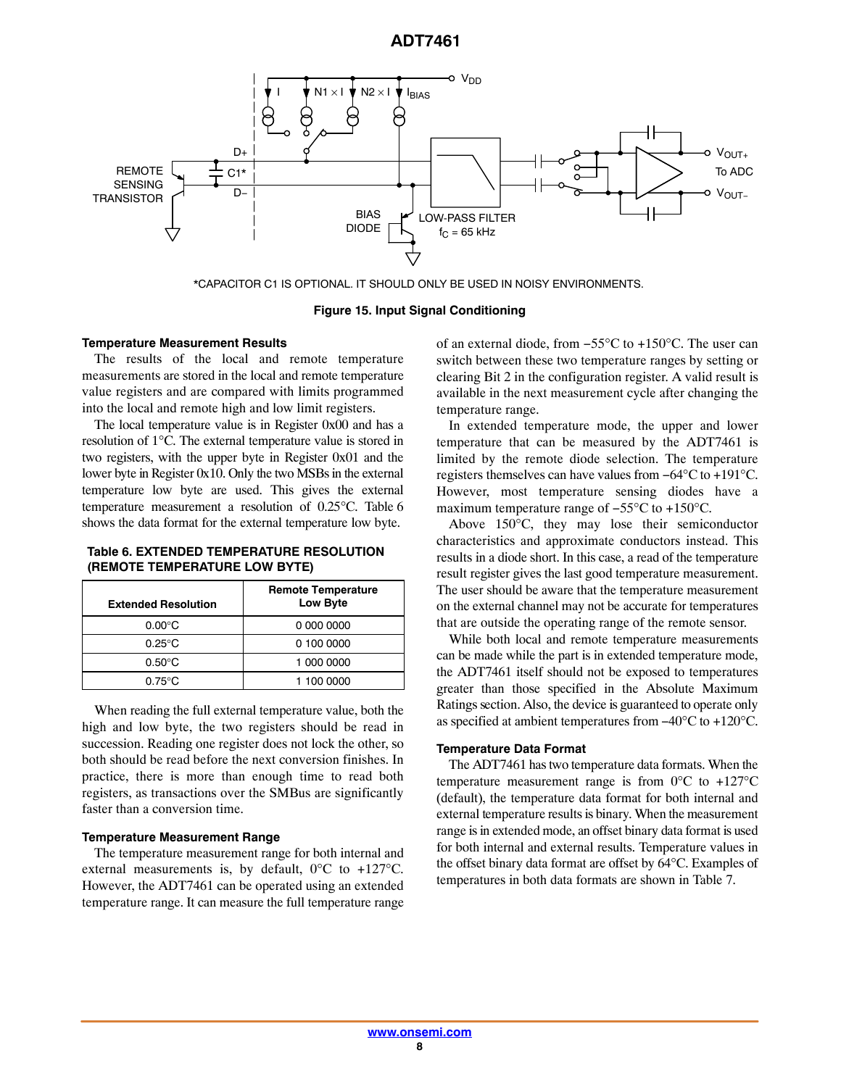<span id="page-7-0"></span>

\*CAPACITOR C1 IS OPTIONAL. IT SHOULD ONLY BE USED IN NOISY ENVIRONMENTS.

**Figure 15. Input Signal Conditioning**

#### **Temperature Measurement Results**

The results of the local and remote temperature measurements are stored in the local and remote temperature value registers and are compared with limits programmed into the local and remote high and low limit registers.

The local temperature value is in Register 0x00 and has a resolution of 1°C. The external temperature value is stored in two registers, with the upper byte in Register 0x01 and the lower byte in Register 0x10. Only the two MSBs in the external temperature low byte are used. This gives the external temperature measurement a resolution of 0.25°C. Table 6 shows the data format for the external temperature low byte.

#### **Table 6. EXTENDED TEMPERATURE RESOLUTION (REMOTE TEMPERATURE LOW BYTE)**

| <b>Extended Resolution</b> | <b>Remote Temperature</b><br>Low Byte |
|----------------------------|---------------------------------------|
| $0.00^{\circ}$ C           | 0 000 0000                            |
| $0.25^{\circ}$ C           | 0 100 0000                            |
| $0.50^{\circ}$ C           | 1 000 0000                            |
| $0.75^{\circ}$ C           | 1 100 0000                            |

When reading the full external temperature value, both the high and low byte, the two registers should be read in succession. Reading one register does not lock the other, so both should be read before the next conversion finishes. In practice, there is more than enough time to read both registers, as transactions over the SMBus are significantly faster than a conversion time.

#### **Temperature Measurement Range**

The temperature measurement range for both internal and external measurements is, by default, 0°C to +127°C. However, the ADT7461 can be operated using an extended temperature range. It can measure the full temperature range of an external diode, from −55°C to +150°C. The user can switch between these two temperature ranges by setting or clearing Bit 2 in the configuration register. A valid result is available in the next measurement cycle after changing the temperature range.

In extended temperature mode, the upper and lower temperature that can be measured by the ADT7461 is limited by the remote diode selection. The temperature registers themselves can have values from −64°C to +191°C. However, most temperature sensing diodes have a maximum temperature range of −55°C to +150°C.

Above 150°C, they may lose their semiconductor characteristics and approximate conductors instead. This results in a diode short. In this case, a read of the temperature result register gives the last good temperature measurement. The user should be aware that the temperature measurement on the external channel may not be accurate for temperatures that are outside the operating range of the remote sensor.

While both local and remote temperature measurements can be made while the part is in extended temperature mode, the ADT7461 itself should not be exposed to temperatures greater than those specified in the Absolute Maximum Ratings section. Also, the device is guaranteed to operate only as specified at ambient temperatures from −40°C to +120°C.

#### **Temperature Data Format**

The ADT7461 has two temperature data formats. When the temperature measurement range is from  $0^{\circ}$ C to +127 $^{\circ}$ C (default), the temperature data format for both internal and external temperature results is binary. When the measurement range is in extended mode, an offset binary data format is used for both internal and external results. Temperature values in the offset binary data format are offset by 64°C. Examples of temperatures in both data formats are shown in Table [7](#page-8-0).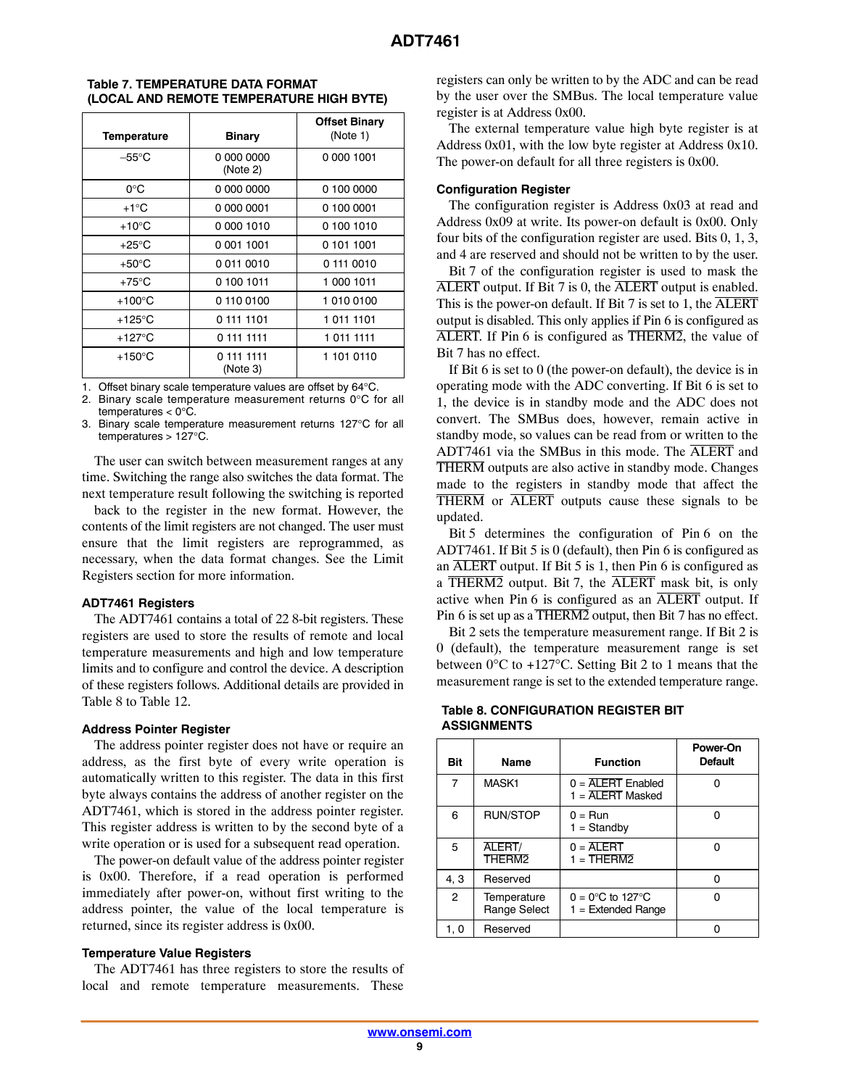| <b>Temperature</b> | <b>Binary</b>          | <b>Offset Binary</b><br>(Note 1) |
|--------------------|------------------------|----------------------------------|
| $-55^{\circ}$ C    | 0.000.0000<br>(Note 2) | 0 000 1001                       |
| $0^{\circ}$ C      | 0 000 0000             | 0 100 0000                       |
| $+1^{\circ}C$      | 0 000 0001             | 0 100 0001                       |
| $+10^{\circ}$ C    | 0 000 1010             | 0 100 1010                       |
| $+25^{\circ}$ C    | 0 001 1001             | 0 101 1001                       |
| $+50^{\circ}$ C    | 00110010               | 0111 0010                        |
| $+75^{\circ}$ C    | 0 100 1011             | 1 000 1011                       |
| $+100^{\circ}$ C   | 01100100               | 1 010 0100                       |
| $+125^{\circ}$ C   | 0 111 1101             | 1 011 1101                       |
| $+127^{\circ}$ C   | 0 111 1111             | 1 011 1111                       |
| $+150^{\circ}$ C   | 0 111 1111<br>(Note 3) | 1 101 0110                       |

#### <span id="page-8-0"></span>**Table 7. TEMPERATURE DATA FORMAT (LOCAL AND REMOTE TEMPERATURE HIGH BYTE)**

1. Offset binary scale temperature values are offset by 64°C.

2. Binary scale temperature measurement returns 0°C for all

temperatures < 0°C.

3. Binary scale temperature measurement returns 127°C for all temperatures  $> 127^{\circ}$ C.

The user can switch between measurement ranges at any time. Switching the range also switches the data format. The next temperature result following the switching is reported

back to the register in the new format. However, the contents of the limit registers are not changed. The user must ensure that the limit registers are reprogrammed, as necessary, when the data format changes. See the Limit Registers section for more information.

# **ADT7461 Registers**

The ADT7461 contains a total of 22 8-bit registers. These registers are used to store the results of remote and local temperature measurements and high and low temperature limits and to configure and control the device. A description of these registers follows. Additional details are provided in Table 8 to Table [12.](#page-10-0)

#### **Address Pointer Register**

The address pointer register does not have or require an address, as the first byte of every write operation is automatically written to this register. The data in this first byte always contains the address of another register on the ADT7461, which is stored in the address pointer register. This register address is written to by the second byte of a write operation or is used for a subsequent read operation.

The power-on default value of the address pointer register is 0x00. Therefore, if a read operation is performed immediately after power-on, without first writing to the address pointer, the value of the local temperature is returned, since its register address is 0x00.

# **Temperature Value Registers**

The ADT7461 has three registers to store the results of local and remote temperature measurements. These

registers can only be written to by the ADC and can be read by the user over the SMBus. The local temperature value register is at Address 0x00.

The external temperature value high byte register is at Address 0x01, with the low byte register at Address 0x10. The power-on default for all three registers is 0x00.

# **Configuration Register**

The configuration register is Address 0x03 at read and Address 0x09 at write. Its power-on default is 0x00. Only four bits of the configuration register are used. Bits 0, 1, 3, and 4 are reserved and should not be written to by the user.

Bit 7 of the configuration register is used to mask the ALERT output. If Bit 7 is 0, the ALERT output is enabled. This is the power-on default. If Bit 7 is set to 1, the  $\overline{\text{ALERT}}$ output is disabled. This only applies if Pin 6 is configured as ALERT. If Pin 6 is configured as THERM2, the value of Bit 7 has no effect.

If Bit 6 is set to 0 (the power-on default), the device is in operating mode with the ADC converting. If Bit 6 is set to 1, the device is in standby mode and the ADC does not convert. The SMBus does, however, remain active in standby mode, so values can be read from or written to the ADT7461 via the SMBus in this mode. The ALERT and THERM outputs are also active in standby mode. Changes made to the registers in standby mode that affect the THERM or ALERT outputs cause these signals to be updated.

Bit 5 determines the configuration of Pin 6 on the ADT7461. If Bit 5 is 0 (default), then Pin 6 is configured as an  $\overline{\text{ALERT}}$  output. If Bit 5 is 1, then Pin 6 is configured as a  $\overline{\text{THERM2}}$  output. Bit 7, the  $\overline{\text{ALERT}}$  mask bit, is only active when Pin 6 is configured as an  $\overline{\text{ALERT}}$  output. If Pin 6 is set up as a THERM2 output, then Bit 7 has no effect.

Bit 2 sets the temperature measurement range. If Bit 2 is 0 (default), the temperature measurement range is set between 0°C to +127°C. Setting Bit 2 to 1 means that the measurement range is set to the extended temperature range.

#### **Table 8. CONFIGURATION REGISTER BIT ASSIGNMENTS**

| Bit            | <b>Name</b>                  | <b>Function</b>                                                  | Power-On<br><b>Default</b> |
|----------------|------------------------------|------------------------------------------------------------------|----------------------------|
| 7              | MASK1                        | $0 = \overline{ALERT}$ Enabled<br>$1 = \overline{AI}$ FRT Masked |                            |
| 6              | RUN/STOP                     | $0 = Run$<br>$1 =$ Standby                                       | n                          |
| 5              | ALERT/<br>THFRM <sub>2</sub> | $0 = \overline{ALERT}$<br>$1 = THERM2$                           | n                          |
| 4.3            | Reserved                     |                                                                  | n                          |
| $\overline{c}$ | Temperature<br>Range Select  | $0 = 0^{\circ}$ C to 127 $^{\circ}$ C<br>$1 =$ Extended Range    |                            |
| 1, 0           | Reserved                     |                                                                  |                            |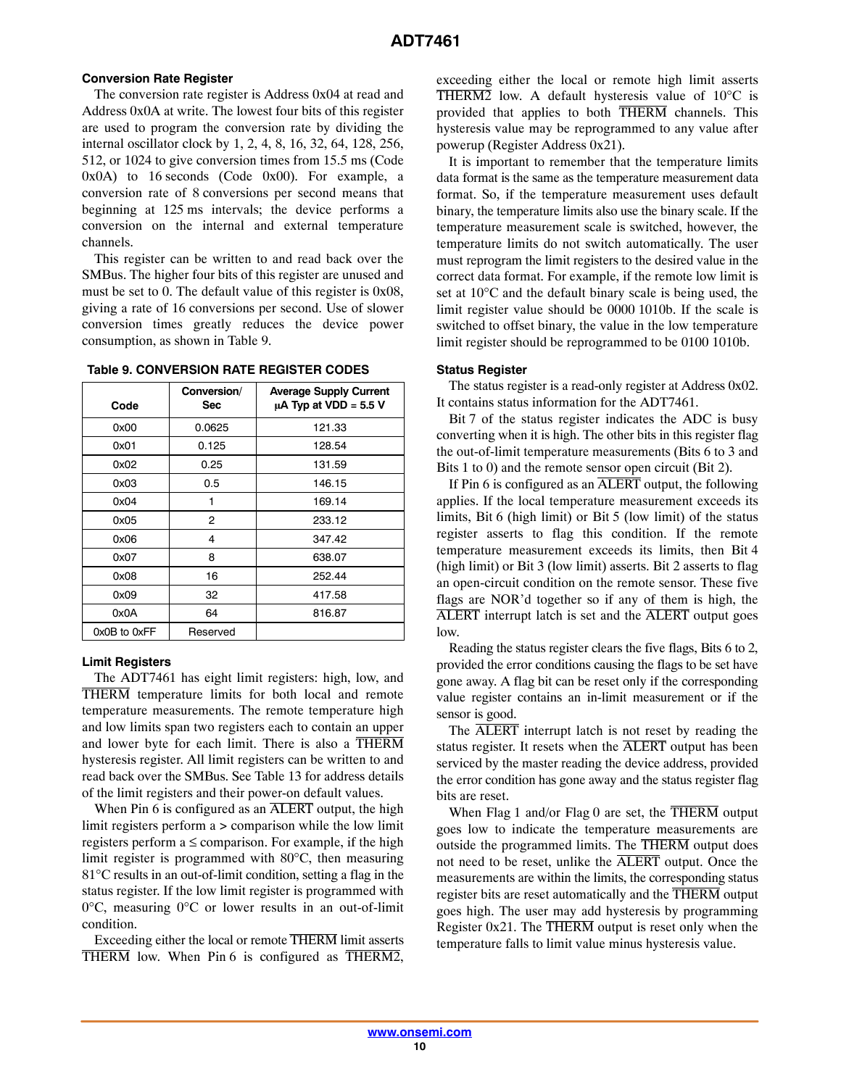#### <span id="page-9-0"></span>**Conversion Rate Register**

The conversion rate register is Address 0x04 at read and Address 0x0A at write. The lowest four bits of this register are used to program the conversion rate by dividing the internal oscillator clock by 1, 2, 4, 8, 16, 32, 64, 128, 256, 512, or 1024 to give conversion times from 15.5 ms (Code 0x0A) to 16 seconds (Code 0x00). For example, a conversion rate of 8 conversions per second means that beginning at 125 ms intervals; the device performs a conversion on the internal and external temperature channels.

This register can be written to and read back over the SMBus. The higher four bits of this register are unused and must be set to 0. The default value of this register is 0x08, giving a rate of 16 conversions per second. Use of slower conversion times greatly reduces the device power consumption, as shown in Table 9.

| Code         | Conversion/<br>Sec | <b>Average Supply Current</b><br>$\mu$ A Typ at VDD = 5.5 V |  |
|--------------|--------------------|-------------------------------------------------------------|--|
| 0x00         | 0.0625             | 121.33                                                      |  |
| 0x01         | 0.125              | 128.54                                                      |  |
| 0x02         | 0.25               | 131.59                                                      |  |
| 0x03         | 0.5                | 146.15                                                      |  |
| 0x04         | 1                  | 169.14                                                      |  |
| 0x05         | 2                  | 233.12                                                      |  |
| 0x06         | 4                  | 347.42                                                      |  |
| 0x07         | 8                  | 638.07                                                      |  |
| 0x08         | 16                 | 252.44                                                      |  |
| 0x09         | 32                 | 417.58                                                      |  |
| 0x0A         | 64                 | 816.87                                                      |  |
| 0x0B to 0xFF | Reserved           |                                                             |  |

#### **Table 9. CONVERSION RATE REGISTER CODES**

#### **Limit Registers**

The ADT7461 has eight limit registers: high, low, and THERM temperature limits for both local and remote temperature measurements. The remote temperature high and low limits span two registers each to contain an upper and lower byte for each limit. There is also a THERM hysteresis register. All limit registers can be written to and read back over the SMBus. See Table [13](#page-11-0) for address details of the limit registers and their power-on default values.

When Pin 6 is configured as an  $\overline{\text{ALERT}}$  output, the high limit registers perform a > comparison while the low limit registers perform  $a \leq$  comparison. For example, if the high limit register is programmed with 80°C, then measuring 81°C results in an out-of-limit condition, setting a flag in the status register. If the low limit register is programmed with 0°C, measuring 0°C or lower results in an out-of-limit condition.

Exceeding either the local or remote THERM limit asserts THERM low. When Pin 6 is configured as THERM2,

exceeding either the local or remote high limit asserts THERM2 low. A default hysteresis value of  $10^{\circ}$ C is provided that applies to both THERM channels. This hysteresis value may be reprogrammed to any value after powerup (Register Address 0x21).

It is important to remember that the temperature limits data format is the same as the temperature measurement data format. So, if the temperature measurement uses default binary, the temperature limits also use the binary scale. If the temperature measurement scale is switched, however, the temperature limits do not switch automatically. The user must reprogram the limit registers to the desired value in the correct data format. For example, if the remote low limit is set at 10°C and the default binary scale is being used, the limit register value should be 0000 1010b. If the scale is switched to offset binary, the value in the low temperature limit register should be reprogrammed to be 0100 1010b.

#### **Status Register**

The status register is a read-only register at Address 0x02. It contains status information for the ADT7461.

Bit 7 of the status register indicates the ADC is busy converting when it is high. The other bits in this register flag the out-of-limit temperature measurements (Bits 6 to 3 and Bits 1 to 0) and the remote sensor open circuit (Bit 2).

If Pin 6 is configured as an ALERT output, the following applies. If the local temperature measurement exceeds its limits, Bit 6 (high limit) or Bit 5 (low limit) of the status register asserts to flag this condition. If the remote temperature measurement exceeds its limits, then Bit 4 (high limit) or Bit 3 (low limit) asserts. Bit 2 asserts to flag an open-circuit condition on the remote sensor. These five flags are NOR'd together so if any of them is high, the ALERT interrupt latch is set and the ALERT output goes low.

Reading the status register clears the five flags, Bits 6 to 2, provided the error conditions causing the flags to be set have gone away. A flag bit can be reset only if the corresponding value register contains an in-limit measurement or if the sensor is good.

The ALERT interrupt latch is not reset by reading the status register. It resets when the ALERT output has been serviced by the master reading the device address, provided the error condition has gone away and the status register flag bits are reset.

When Flag 1 and/or Flag 0 are set, the THERM output goes low to indicate the temperature measurements are outside the programmed limits. The THERM output does not need to be reset, unlike the ALERT output. Once the measurements are within the limits, the corresponding status register bits are reset automatically and the THERM output goes high. The user may add hysteresis by programming Register  $0x21$ . The THERM output is reset only when the temperature falls to limit value minus hysteresis value.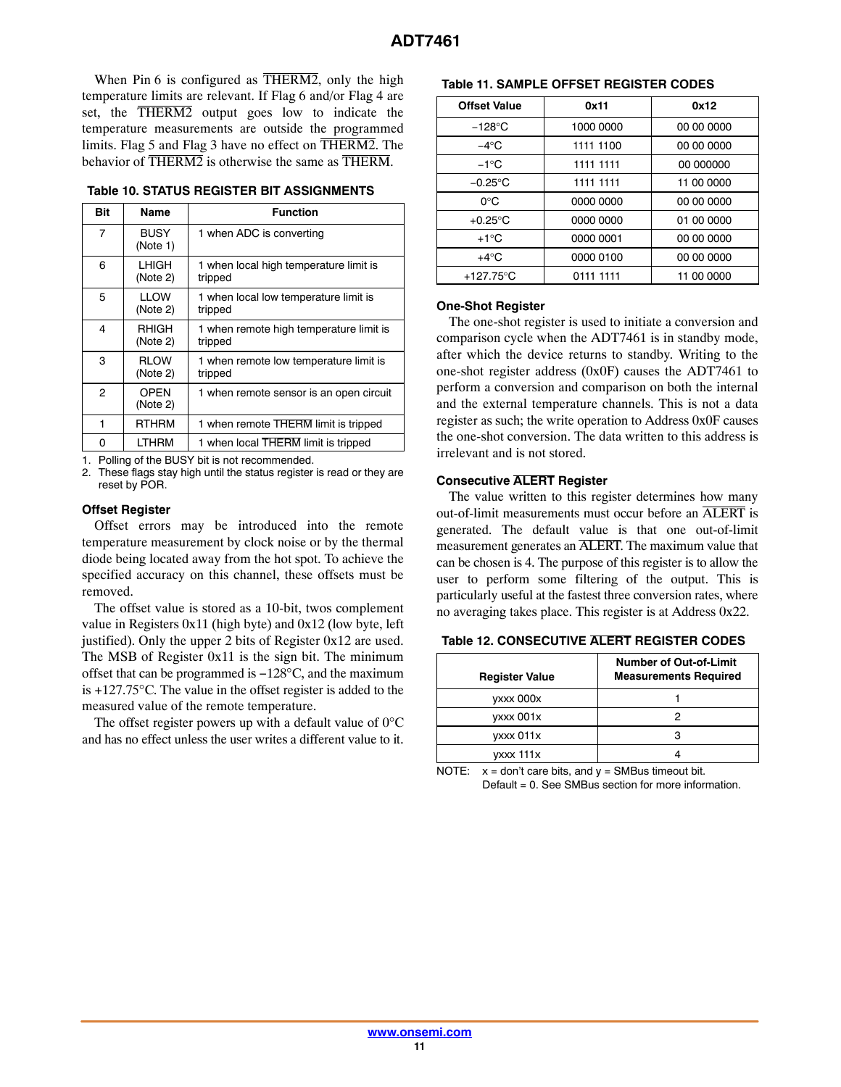<span id="page-10-0"></span>When Pin 6 is configured as  $\overline{\text{THERM2}}$ , only the high temperature limits are relevant. If Flag 6 and/or Flag 4 are set, the THERM2 output goes low to indicate the temperature measurements are outside the programmed limits. Flag 5 and Flag 3 have no effect on THERM2. The behavior of THERM2 is otherwise the same as THERM.

**Table 10. STATUS REGISTER BIT ASSIGNMENTS**

| Bit            | Name                    | <b>Function</b>                                    |
|----------------|-------------------------|----------------------------------------------------|
| $\overline{7}$ | <b>BUSY</b><br>(Note 1) | 1 when ADC is converting                           |
| 6              | LHIGH<br>(Note 2)       | 1 when local high temperature limit is<br>tripped  |
| 5              | <b>IIOW</b><br>(Note 2) | 1 when local low temperature limit is<br>tripped   |
| 4              | RHIGH<br>(Note 2)       | 1 when remote high temperature limit is<br>tripped |
| 3              | <b>RLOW</b><br>(Note 2) | 1 when remote low temperature limit is<br>tripped  |
| $\overline{c}$ | <b>OPFN</b><br>(Note 2) | 1 when remote sensor is an open circuit            |
| 1              | <b>RTHRM</b>            | 1 when remote THERM limit is tripped               |
| 0              | LTHRM                   | 1 when local THERM limit is tripped                |

1. Polling of the BUSY bit is not recommended.

2. These flags stay high until the status register is read or they are reset by POR.

#### **Offset Register**

Offset errors may be introduced into the remote temperature measurement by clock noise or by the thermal diode being located away from the hot spot. To achieve the specified accuracy on this channel, these offsets must be removed.

The offset value is stored as a 10-bit, twos complement value in Registers 0x11 (high byte) and 0x12 (low byte, left justified). Only the upper 2 bits of Register 0x12 are used. The MSB of Register 0x11 is the sign bit. The minimum offset that can be programmed is −128°C, and the maximum is +127.75°C. The value in the offset register is added to the measured value of the remote temperature.

The offset register powers up with a default value of 0°C and has no effect unless the user writes a different value to it.

## **Table 11. SAMPLE OFFSET REGISTER CODES**

| <b>Offset Value</b> | 0x11      | 0x12       |
|---------------------|-----------|------------|
| $-128^{\circ}$ C    | 1000 0000 | 00 00 0000 |
| $-4^\circ$ C        | 1111 1100 | 00 00 0000 |
| $-1^{\circ}C$       | 1111 1111 | 00,000000  |
| $-0.25^{\circ}$ C   | 1111 1111 | 11 00 0000 |
| റ∘റ                 | 0000 0000 | 00 00 0000 |
| $+0.25^{\circ}$ C   | 0000 0000 | 01 00 0000 |
| $+1^{\circ}$ C      | 0000 0001 | 00 00 0000 |
| $+4^{\circ}C$       | 0000 0100 | 00 00 0000 |
| $+127.75$ °C        | 0111 1111 | 11 00 0000 |

#### **One-Shot Register**

The one-shot register is used to initiate a conversion and comparison cycle when the ADT7461 is in standby mode, after which the device returns to standby. Writing to the one-shot register address (0x0F) causes the ADT7461 to perform a conversion and comparison on both the internal and the external temperature channels. This is not a data register as such; the write operation to Address 0x0F causes the one-shot conversion. The data written to this address is irrelevant and is not stored.

#### **Consecutive ALERT Register**

The value written to this register determines how many out-of-limit measurements must occur before an ALERT is generated. The default value is that one out-of-limit measurement generates an ALERT. The maximum value that can be chosen is 4. The purpose of this register is to allow the user to perform some filtering of the output. This is particularly useful at the fastest three conversion rates, where no averaging takes place. This register is at Address 0x22.

| <b>Register Value</b> | <b>Number of Out-of-Limit</b><br><b>Measurements Required</b> |
|-----------------------|---------------------------------------------------------------|
| yxxx 000x             |                                                               |
| <b>VXXX 001X</b>      |                                                               |
| yxxx 011x             |                                                               |
| $vxxx$ 111 $x$        |                                                               |

**Table 12. CONSECUTIVE ALERT REGISTER CODES**

NOTE:  $x = don't care bits, and y = SMBus timeout bit.$ Default = 0. See SMBus section for more information.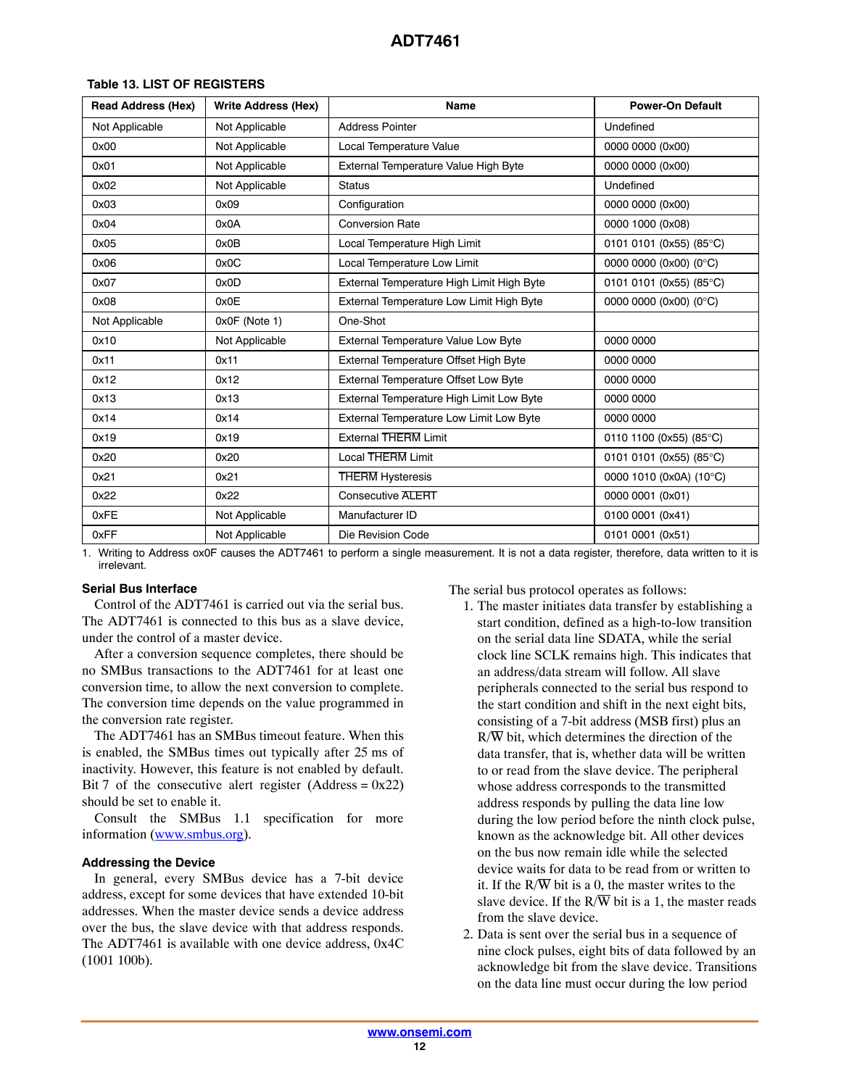| <b>Read Address (Hex)</b> | <b>Write Address (Hex)</b> | Name                                      | <b>Power-On Default</b> |
|---------------------------|----------------------------|-------------------------------------------|-------------------------|
| Not Applicable            | Not Applicable             | <b>Address Pointer</b>                    | Undefined               |
| 0x00                      | Not Applicable             | Local Temperature Value                   | 0000 0000 (0x00)        |
| 0x01                      | Not Applicable             | External Temperature Value High Byte      | 0000 0000 (0x00)        |
| 0x02                      | Not Applicable             | <b>Status</b>                             | Undefined               |
| 0x03                      | 0x09                       | Configuration                             | 0000 0000 (0x00)        |
| 0x04                      | 0x0A                       | <b>Conversion Rate</b>                    | 0000 1000 (0x08)        |
| 0x05                      | 0x0B                       | Local Temperature High Limit              | 0101 0101 (0x55) (85°C) |
| 0x06                      | 0x0C                       | Local Temperature Low Limit               | 0000 0000 (0x00) (0°C)  |
| 0x07                      | 0x0D                       | External Temperature High Limit High Byte | 0101 0101 (0x55) (85°C) |
| 0x08                      | 0x0E                       | External Temperature Low Limit High Byte  | 0000 0000 (0x00) (0°C)  |
| Not Applicable            | 0x0F (Note 1)              | One-Shot                                  |                         |
| 0x10                      | Not Applicable             | External Temperature Value Low Byte       | 0000 0000               |
| 0x11                      | 0x11                       | External Temperature Offset High Byte     | 0000 0000               |
| 0x12                      | 0x12                       | External Temperature Offset Low Byte      | 0000 0000               |
| 0x13                      | 0x13                       | External Temperature High Limit Low Byte  | 0000 0000               |
| 0x14                      | 0x14                       | External Temperature Low Limit Low Byte   | 0000 0000               |
| 0x19                      | 0x19                       | <b>External THERM Limit</b>               | 0110 1100 (0x55) (85°C) |
| 0x20                      | 0x20                       | <b>Local THERM Limit</b>                  | 0101 0101 (0x55) (85°C) |
| 0x21                      | 0x21                       | <b>THERM</b> Hysteresis                   | 0000 1010 (0x0A) (10°C) |
| 0x22                      | 0x22                       | <b>Consecutive ALERT</b>                  | 0000 0001 (0x01)        |
| 0xFE                      | Not Applicable             | Manufacturer ID                           | 0100 0001 (0x41)        |
| 0xFF                      | Not Applicable             | Die Revision Code                         | 0101 0001 (0x51)        |

# <span id="page-11-0"></span>**Table 13. LIST OF REGISTERS**

1. Writing to Address ox0F causes the ADT7461 to perform a single measurement. It is not a data register, therefore, data written to it is irrelevant.

### **Serial Bus Interface**

Control of the ADT7461 is carried out via the serial bus. The ADT7461 is connected to this bus as a slave device, under the control of a master device.

After a conversion sequence completes, there should be no SMBus transactions to the ADT7461 for at least one conversion time, to allow the next conversion to complete. The conversion time depends on the value programmed in the conversion rate register.

The ADT7461 has an SMBus timeout feature. When this is enabled, the SMBus times out typically after 25 ms of inactivity. However, this feature is not enabled by default. Bit 7 of the consecutive alert register (Address =  $0x22$ ) should be set to enable it.

Consult the SMBus 1.1 specification for more information ([www.smbus.org](http://www.smbus.org/)).

#### **Addressing the Device**

In general, every SMBus device has a 7-bit device address, except for some devices that have extended 10-bit addresses. When the master device sends a device address over the bus, the slave device with that address responds. The ADT7461 is available with one device address, 0x4C (1001 100b).

The serial bus protocol operates as follows:

- 1. The master initiates data transfer by establishing a start condition, defined as a high-to-low transition on the serial data line SDATA, while the serial clock line SCLK remains high. This indicates that an address/data stream will follow. All slave peripherals connected to the serial bus respond to the start condition and shift in the next eight bits, consisting of a 7-bit address (MSB first) plus an  $R/\overline{W}$  bit, which determines the direction of the data transfer, that is, whether data will be written to or read from the slave device. The peripheral whose address corresponds to the transmitted address responds by pulling the data line low during the low period before the ninth clock pulse, known as the acknowledge bit. All other devices on the bus now remain idle while the selected device waits for data to be read from or written to it. If the  $R/\overline{W}$  bit is a 0, the master writes to the slave device. If the  $R/\overline{W}$  bit is a 1, the master reads from the slave device.
- 2. Data is sent over the serial bus in a sequence of nine clock pulses, eight bits of data followed by an acknowledge bit from the slave device. Transitions on the data line must occur during the low period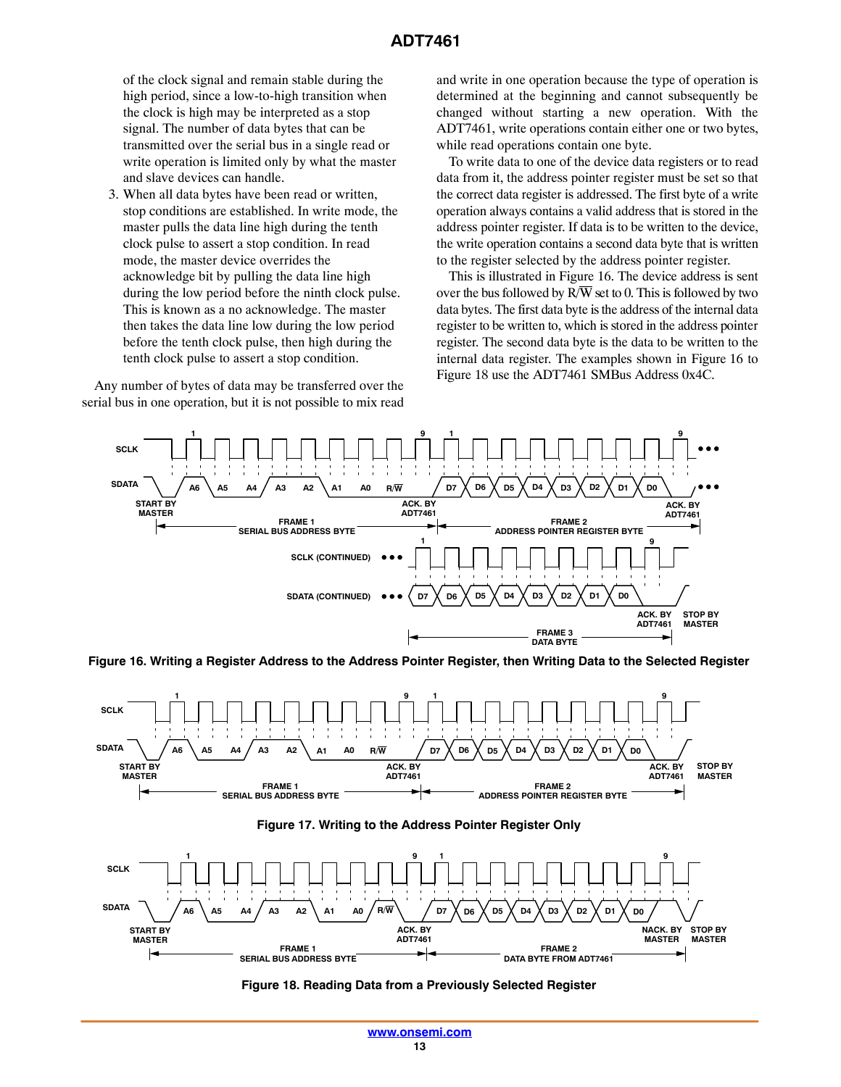<span id="page-12-0"></span>of the clock signal and remain stable during the high period, since a low-to-high transition when the clock is high may be interpreted as a stop signal. The number of data bytes that can be transmitted over the serial bus in a single read or write operation is limited only by what the master and slave devices can handle.

3. When all data bytes have been read or written, stop conditions are established. In write mode, the master pulls the data line high during the tenth clock pulse to assert a stop condition. In read mode, the master device overrides the acknowledge bit by pulling the data line high during the low period before the ninth clock pulse. This is known as a no acknowledge. The master then takes the data line low during the low period before the tenth clock pulse, then high during the tenth clock pulse to assert a stop condition.

Any number of bytes of data may be transferred over the serial bus in one operation, but it is not possible to mix read

and write in one operation because the type of operation is determined at the beginning and cannot subsequently be changed without starting a new operation. With the ADT7461, write operations contain either one or two bytes, while read operations contain one byte.

To write data to one of the device data registers or to read data from it, the address pointer register must be set so that the correct data register is addressed. The first byte of a write operation always contains a valid address that is stored in the address pointer register. If data is to be written to the device, the write operation contains a second data byte that is written to the register selected by the address pointer register.

This is illustrated in Figure 16. The device address is sent over the bus followed by  $R/\overline{W}$  set to 0. This is followed by two data bytes. The first data byte is the address of the internal data register to be written to, which is stored in the address pointer register. The second data byte is the data to be written to the internal data register. The examples shown in Figure 16 to Figure 18 use the ADT7461 SMBus Address 0x4C.



**Figure 16. Writing a Register Address to the Address Pointer Register, then Writing Data to the Selected Register**



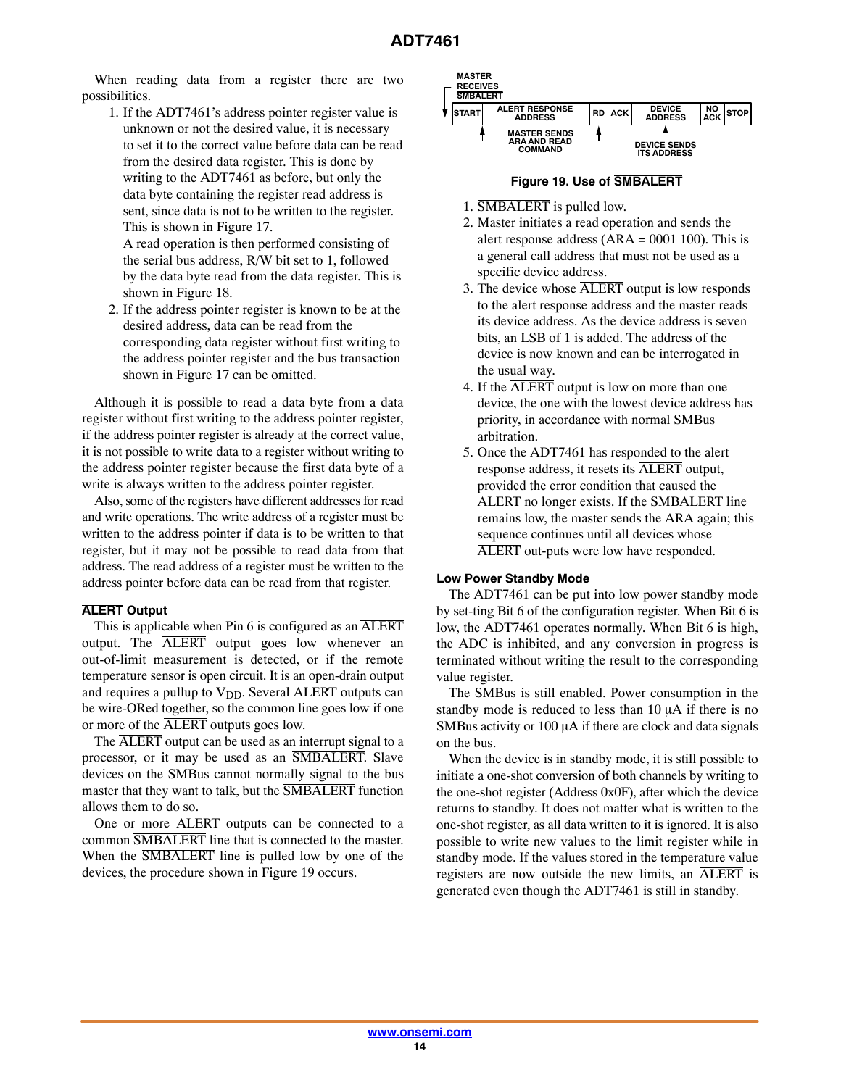When reading data from a register there are two possibilities.

1. If the ADT7461's address pointer register value is unknown or not the desired value, it is necessary to set it to the correct value before data can be read from the desired data register. This is done by writing to the ADT7461 as before, but only the data byte containing the register read address is sent, since data is not to be written to the register. This is shown in Figure [17](#page-12-0).

A read operation is then performed consisting of the serial bus address,  $R/\overline{W}$  bit set to 1, followed by the data byte read from the data register. This is shown in Figure [18.](#page-12-0)

2. If the address pointer register is known to be at the desired address, data can be read from the corresponding data register without first writing to the address pointer register and the bus transaction shown in Figure [17](#page-12-0) can be omitted.

Although it is possible to read a data byte from a data register without first writing to the address pointer register, if the address pointer register is already at the correct value, it is not possible to write data to a register without writing to the address pointer register because the first data byte of a write is always written to the address pointer register.

Also, some of the registers have different addresses for read and write operations. The write address of a register must be written to the address pointer if data is to be written to that register, but it may not be possible to read data from that address. The read address of a register must be written to the address pointer before data can be read from that register.

#### **ALERT Output**

This is applicable when Pin 6 is configured as an ALERT output. The ALERT output goes low whenever an out-of-limit measurement is detected, or if the remote temperature sensor is open circuit. It is an open-drain output and requires a pullup to  $V_{DD}$ . Several  $\overline{ALERT}$  outputs can be wire-ORed together, so the common line goes low if one or more of the ALERT outputs goes low.

The ALERT output can be used as an interrupt signal to a processor, or it may be used as an SMBALERT. Slave devices on the SMBus cannot normally signal to the bus master that they want to talk, but the **SMBALERT** function allows them to do so.

One or more ALERT outputs can be connected to a common SMBALERT line that is connected to the master. When the **SMBALERT** line is pulled low by one of the devices, the procedure shown in Figure 19 occurs.

| <b>MASTER</b><br><b>RECEIVES</b><br><b>SMBALERT</b> |                                                              |                 |                                           |                  |             |
|-----------------------------------------------------|--------------------------------------------------------------|-----------------|-------------------------------------------|------------------|-------------|
| <b>İSTART</b>                                       | <b>ALERT RESPONSE</b><br><b>ADDRESS</b>                      | <b>RD</b>   ACK | <b>DEVICE</b><br><b>ADDRESS</b>           | NO<br><b>ACK</b> | <b>STOP</b> |
|                                                     | <b>MASTER SENDS</b><br><b>ARA AND READ</b><br><b>COMMAND</b> |                 | <b>DEVICE SENDS</b><br><b>ITS ADDRESS</b> |                  |             |

#### **Figure 19. Use of SMBALERT**

- 1. SMBALERT is pulled low.
- 2. Master initiates a read operation and sends the alert response address  $(ARA = 0001 100)$ . This is a general call address that must not be used as a specific device address.
- 3. The device whose ALERT output is low responds to the alert response address and the master reads its device address. As the device address is seven bits, an LSB of 1 is added. The address of the device is now known and can be interrogated in the usual way.
- 4. If the ALERT output is low on more than one device, the one with the lowest device address has priority, in accordance with normal SMBus arbitration.
- 5. Once the ADT7461 has responded to the alert response address, it resets its ALERT output, provided the error condition that caused the ALERT no longer exists. If the SMBALERT line remains low, the master sends the ARA again; this sequence continues until all devices whose ALERT out-puts were low have responded.

#### **Low Power Standby Mode**

The ADT7461 can be put into low power standby mode by set-ting Bit 6 of the configuration register. When Bit 6 is low, the ADT7461 operates normally. When Bit 6 is high, the ADC is inhibited, and any conversion in progress is terminated without writing the result to the corresponding value register.

The SMBus is still enabled. Power consumption in the standby mode is reduced to less than  $10 \mu A$  if there is no SMBus activity or  $100 \mu A$  if there are clock and data signals on the bus.

When the device is in standby mode, it is still possible to initiate a one-shot conversion of both channels by writing to the one-shot register (Address 0x0F), after which the device returns to standby. It does not matter what is written to the one-shot register, as all data written to it is ignored. It is also possible to write new values to the limit register while in standby mode. If the values stored in the temperature value registers are now outside the new limits, an ALERT is generated even though the ADT7461 is still in standby.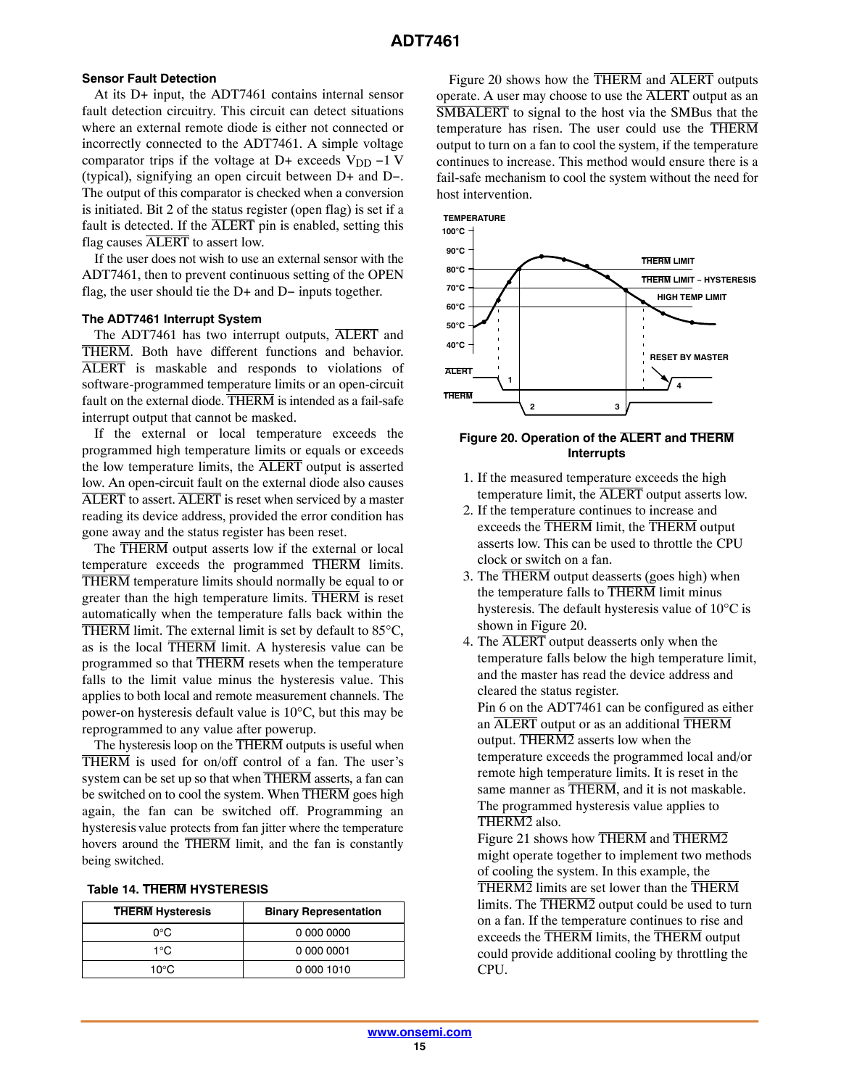# **Sensor Fault Detection**

At its D+ input, the ADT7461 contains internal sensor fault detection circuitry. This circuit can detect situations where an external remote diode is either not connected or incorrectly connected to the ADT7461. A simple voltage comparator trips if the voltage at D+ exceeds  $V_{DD} - 1$  V (typical), signifying an open circuit between D+ and D−. The output of this comparator is checked when a conversion is initiated. Bit 2 of the status register (open flag) is set if a fault is detected. If the ALERT pin is enabled, setting this flag causes ALERT to assert low.

If the user does not wish to use an external sensor with the ADT7461, then to prevent continuous setting of the OPEN flag, the user should tie the D+ and D− inputs together.

#### **The ADT7461 Interrupt System**

The ADT7461 has two interrupt outputs, ALERT and THERM. Both have different functions and behavior. ALERT is maskable and responds to violations of software-programmed temperature limits or an open-circuit fault on the external diode. THERM is intended as a fail-safe interrupt output that cannot be masked.

If the external or local temperature exceeds the programmed high temperature limits or equals or exceeds the low temperature limits, the  $\overline{\text{ALERT}}$  output is asserted low. An open-circuit fault on the external diode also causes ALERT to assert. ALERT is reset when serviced by a master reading its device address, provided the error condition has gone away and the status register has been reset.

The THERM output asserts low if the external or local temperature exceeds the programmed THERM limits. THERM temperature limits should normally be equal to or greater than the high temperature limits. THERM is reset automatically when the temperature falls back within the THERM limit. The external limit is set by default to  $85^{\circ}$ C, as is the local THERM limit. A hysteresis value can be programmed so that THERM resets when the temperature falls to the limit value minus the hysteresis value. This applies to both local and remote measurement channels. The power-on hysteresis default value is 10°C, but this may be reprogrammed to any value after powerup.

The hysteresis loop on the THERM outputs is useful when THERM is used for on/off control of a fan. The user's system can be set up so that when THERM asserts, a fan can be switched on to cool the system. When THERM goes high again, the fan can be switched off. Programming an hysteresis value protects from fan jitter where the temperature hovers around the THERM limit, and the fan is constantly being switched.

| <b>Table 14. THERM HYSTERESIS</b> |  |  |  |
|-----------------------------------|--|--|--|
|-----------------------------------|--|--|--|

| <b>THERM Hysteresis</b> | <b>Binary Representation</b> |  |  |
|-------------------------|------------------------------|--|--|
| റ∘റ                     | 0 000 0000                   |  |  |
| 1°∩                     | 0 000 0001                   |  |  |
| $10^{\circ}$ C          | 0 000 1010                   |  |  |

Figure 20 shows how the THERM and ALERT outputs operate. A user may choose to use the ALERT output as an SMBALERT to signal to the host via the SMBus that the temperature has risen. The user could use the THERM output to turn on a fan to cool the system, if the temperature continues to increase. This method would ensure there is a fail-safe mechanism to cool the system without the need for host intervention.



#### **Figure 20. Operation of the ALERT and THERM Interrupts**

- 1. If the measured temperature exceeds the high temperature limit, the ALERT output asserts low.
- 2. If the temperature continues to increase and exceeds the THERM limit, the THERM output asserts low. This can be used to throttle the CPU clock or switch on a fan.
- 3. The THERM output deasserts (goes high) when the temperature falls to THERM limit minus hysteresis. The default hysteresis value of 10°C is shown in Figure 20.
- 4. The ALERT output deasserts only when the temperature falls below the high temperature limit, and the master has read the device address and cleared the status register.

Pin 6 on the ADT7461 can be configured as either an ALERT output or as an additional THERM output. THERM2 asserts low when the temperature exceeds the programmed local and/or remote high temperature limits. It is reset in the same manner as THERM, and it is not maskable. The programmed hysteresis value applies to THERM2 also.

Figure [21](#page-15-0) shows how THERM and THERM2 might operate together to implement two methods of cooling the system. In this example, the THERM2 limits are set lower than the THERM limits. The THERM2 output could be used to turn on a fan. If the temperature continues to rise and exceeds the THERM limits, the THERM output could provide additional cooling by throttling the CPU.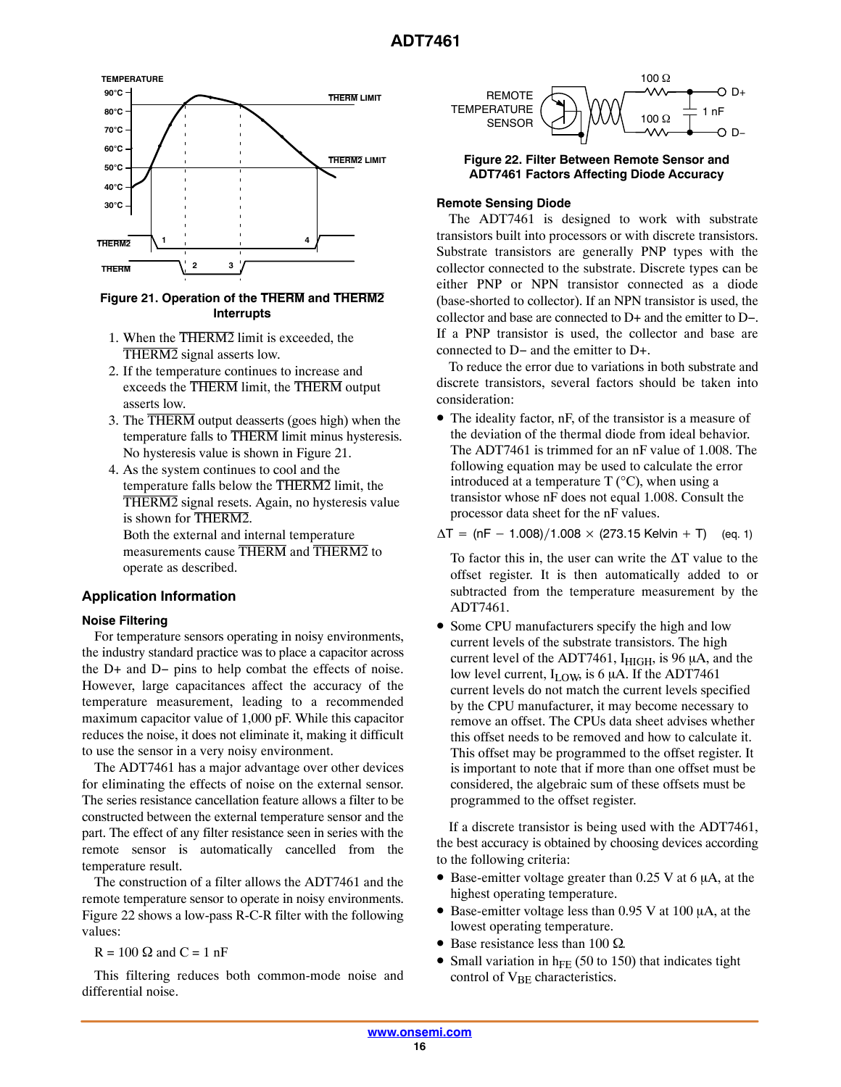<span id="page-15-0"></span>

# **Figure 21. Operation of the THERM and THERM2 Interrupts**

- 1. When the THERM2 limit is exceeded, the THERM2 signal asserts low.
- 2. If the temperature continues to increase and exceeds the THERM limit, the THERM output asserts low.
- 3. The THERM output deasserts (goes high) when the temperature falls to THERM limit minus hysteresis. No hysteresis value is shown in Figure 21.
- 4. As the system continues to cool and the temperature falls below the THERM2 limit, the THERM2 signal resets. Again, no hysteresis value is shown for THERM2. Both the external and internal temperature measurements cause THERM and THERM2 to operate as described.

# **Application Information**

#### **Noise Filtering**

For temperature sensors operating in noisy environments, the industry standard practice was to place a capacitor across the D+ and D− pins to help combat the effects of noise. However, large capacitances affect the accuracy of the temperature measurement, leading to a recommended maximum capacitor value of 1,000 pF. While this capacitor reduces the noise, it does not eliminate it, making it difficult to use the sensor in a very noisy environment.

The ADT7461 has a major advantage over other devices for eliminating the effects of noise on the external sensor. The series resistance cancellation feature allows a filter to be constructed between the external temperature sensor and the part. The effect of any filter resistance seen in series with the remote sensor is automatically cancelled from the temperature result.

The construction of a filter allows the ADT7461 and the remote temperature sensor to operate in noisy environments. Figure 22 shows a low-pass R-C-R filter with the following values:

 $R = 100 \Omega$  and  $C = 1 nF$ 

This filtering reduces both common-mode noise and differential noise.



# **Figure 22. Filter Between Remote Sensor and ADT7461 Factors Affecting Diode Accuracy**

### **Remote Sensing Diode**

The ADT7461 is designed to work with substrate transistors built into processors or with discrete transistors. Substrate transistors are generally PNP types with the collector connected to the substrate. Discrete types can be either PNP or NPN transistor connected as a diode (base-shorted to collector). If an NPN transistor is used, the collector and base are connected to D+ and the emitter to D−. If a PNP transistor is used, the collector and base are connected to D− and the emitter to D+.

To reduce the error due to variations in both substrate and discrete transistors, several factors should be taken into consideration:

• The ideality factor, nF, of the transistor is a measure of the deviation of the thermal diode from ideal behavior. The ADT7461 is trimmed for an nF value of 1.008. The following equation may be used to calculate the error introduced at a temperature  $T$  ( $\rm{°C}$ ), when using a transistor whose nF does not equal 1.008. Consult the processor data sheet for the nF values.

 $\Delta T = (nF - 1.008)/1.008 \times (273.15 \text{ Kelvin} + \text{T})$  (eq. 1)

To factor this in, the user can write the  $\Delta T$  value to the offset register. It is then automatically added to or subtracted from the temperature measurement by the ADT7461.

• Some CPU manufacturers specify the high and low current levels of the substrate transistors. The high current level of the ADT7461,  $I_{HIGH}$ , is 96  $\mu$ A, and the low level current,  $I_{LOW}$ , is 6  $\mu$ A. If the ADT7461 current levels do not match the current levels specified by the CPU manufacturer, it may become necessary to remove an offset. The CPUs data sheet advises whether this offset needs to be removed and how to calculate it. This offset may be programmed to the offset register. It is important to note that if more than one offset must be considered, the algebraic sum of these offsets must be programmed to the offset register.

If a discrete transistor is being used with the ADT7461, the best accuracy is obtained by choosing devices according to the following criteria:

- Base-emitter voltage greater than  $0.25$  V at 6  $\mu$ A, at the highest operating temperature.
- Base-emitter voltage less than  $0.95$  V at 100  $\mu$ A, at the lowest operating temperature.
- Base resistance less than 100  $\Omega$ .
- Small variation in  $h_{FE}$  (50 to 150) that indicates tight control of  $V_{BE}$  characteristics.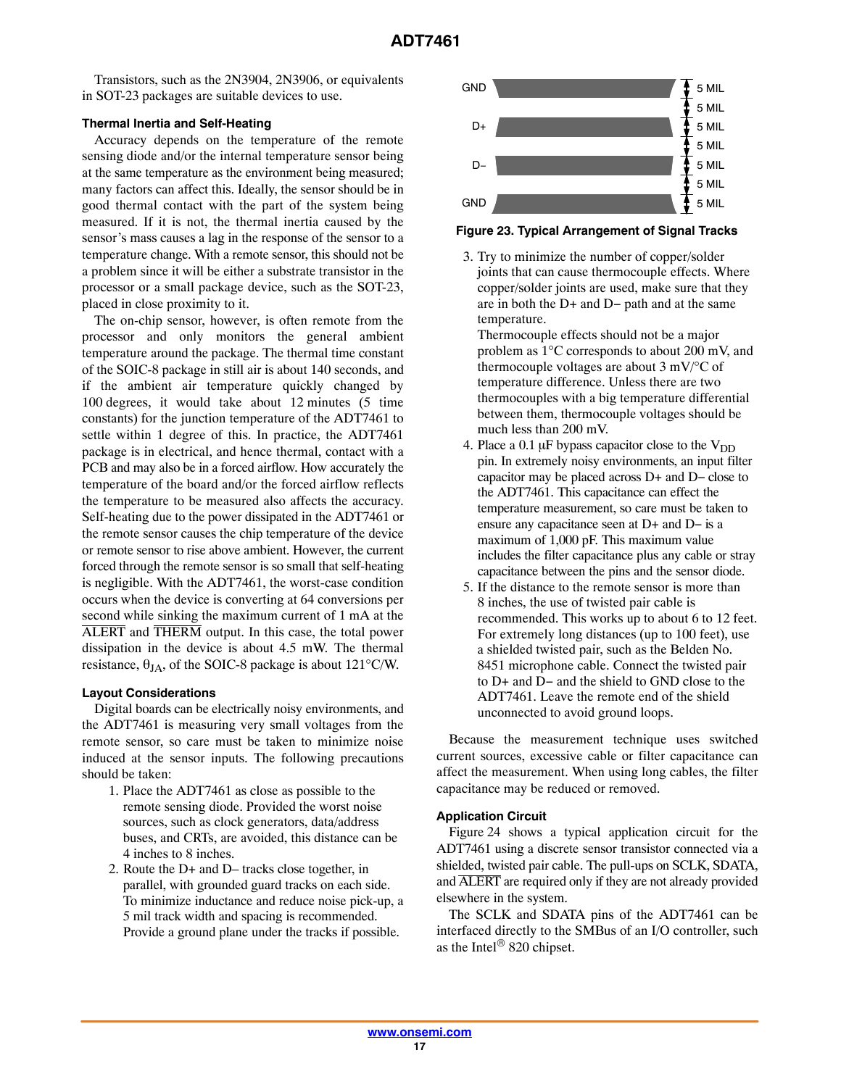Transistors, such as the 2N3904, 2N3906, or equivalents in SOT-23 packages are suitable devices to use.

#### **Thermal Inertia and Self-Heating**

Accuracy depends on the temperature of the remote sensing diode and/or the internal temperature sensor being at the same temperature as the environment being measured; many factors can affect this. Ideally, the sensor should be in good thermal contact with the part of the system being measured. If it is not, the thermal inertia caused by the sensor's mass causes a lag in the response of the sensor to a temperature change. With a remote sensor, this should not be a problem since it will be either a substrate transistor in the processor or a small package device, such as the SOT-23, placed in close proximity to it.

The on-chip sensor, however, is often remote from the processor and only monitors the general ambient temperature around the package. The thermal time constant of the SOIC-8 package in still air is about 140 seconds, and if the ambient air temperature quickly changed by 100 degrees, it would take about 12 minutes (5 time constants) for the junction temperature of the ADT7461 to settle within 1 degree of this. In practice, the ADT7461 package is in electrical, and hence thermal, contact with a PCB and may also be in a forced airflow. How accurately the temperature of the board and/or the forced airflow reflects the temperature to be measured also affects the accuracy. Self-heating due to the power dissipated in the ADT7461 or the remote sensor causes the chip temperature of the device or remote sensor to rise above ambient. However, the current forced through the remote sensor is so small that self-heating is negligible. With the ADT7461, the worst-case condition occurs when the device is converting at 64 conversions per second while sinking the maximum current of 1 mA at the ALERT and THERM output. In this case, the total power dissipation in the device is about 4.5 mW. The thermal resistance,  $\theta_{JA}$ , of the SOIC-8 package is about 121°C/W.

#### **Layout Considerations**

Digital boards can be electrically noisy environments, and the ADT7461 is measuring very small voltages from the remote sensor, so care must be taken to minimize noise induced at the sensor inputs. The following precautions should be taken:

- 1. Place the ADT7461 as close as possible to the remote sensing diode. Provided the worst noise sources, such as clock generators, data/address buses, and CRTs, are avoided, this distance can be 4 inches to 8 inches.
- 2. Route the D+ and D– tracks close together, in parallel, with grounded guard tracks on each side. To minimize inductance and reduce noise pick-up, a 5 mil track width and spacing is recommended. Provide a ground plane under the tracks if possible.



#### **Figure 23. Typical Arrangement of Signal Tracks**

3. Try to minimize the number of copper/solder joints that can cause thermocouple effects. Where copper/solder joints are used, make sure that they are in both the D+ and D− path and at the same temperature.

Thermocouple effects should not be a major problem as 1°C corresponds to about 200 mV, and thermocouple voltages are about  $3 \text{ mV}$ <sup>o</sup>C of temperature difference. Unless there are two thermocouples with a big temperature differential between them, thermocouple voltages should be much less than 200 mV.

- 4. Place a 0.1  $\mu$ F bypass capacitor close to the V<sub>DD</sub> pin. In extremely noisy environments, an input filter capacitor may be placed across D+ and D− close to the ADT7461. This capacitance can effect the temperature measurement, so care must be taken to ensure any capacitance seen at D+ and D− is a maximum of 1,000 pF. This maximum value includes the filter capacitance plus any cable or stray capacitance between the pins and the sensor diode.
- 5. If the distance to the remote sensor is more than 8 inches, the use of twisted pair cable is recommended. This works up to about 6 to 12 feet. For extremely long distances (up to 100 feet), use a shielded twisted pair, such as the Belden No. 8451 microphone cable. Connect the twisted pair to D+ and D− and the shield to GND close to the ADT7461. Leave the remote end of the shield unconnected to avoid ground loops.

Because the measurement technique uses switched current sources, excessive cable or filter capacitance can affect the measurement. When using long cables, the filter capacitance may be reduced or removed.

# **Application Circuit**

Figure [24](#page-17-0) shows a typical application circuit for the ADT7461 using a discrete sensor transistor connected via a shielded, twisted pair cable. The pull-ups on SCLK, SDATA, and ALERT are required only if they are not already provided elsewhere in the system.

The SCLK and SDATA pins of the ADT7461 can be interfaced directly to the SMBus of an I/O controller, such as the Intel $^{\circledR}$  820 chipset.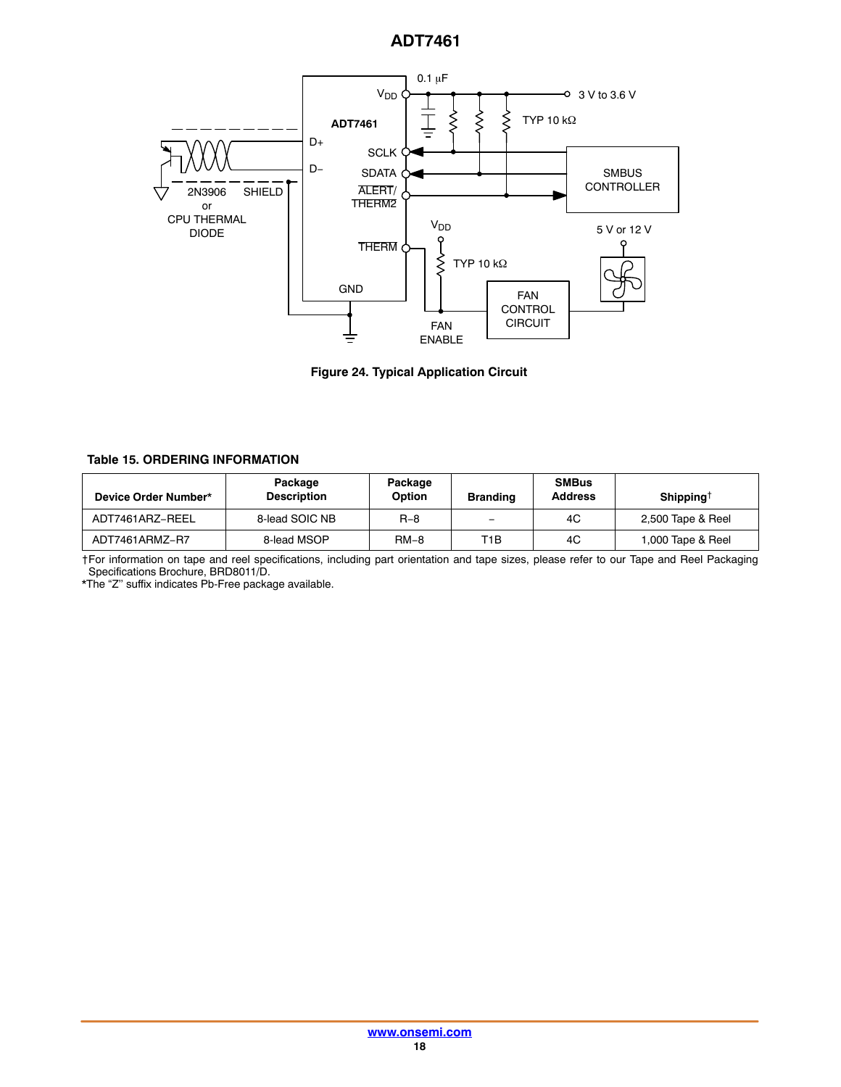<span id="page-17-0"></span>

**Figure 24. Typical Application Circuit**

### **Table 15. ORDERING INFORMATION**

| Device Order Number* | Package<br><b>Description</b> | Package<br>Option | <b>Branding</b>          | <b>SMBus</b><br><b>Address</b> | Shipping <sup>†</sup> |
|----------------------|-------------------------------|-------------------|--------------------------|--------------------------------|-----------------------|
| ADT7461ARZ-REEL      | 8-lead SOIC NB                | $R - 8$           | $\overline{\phantom{0}}$ | 4C                             | 2,500 Tape & Reel     |
| ADT7461ARMZ-R7       | 8-lead MSOP                   | $RM-8$            | T1B                      | 4C                             | 1,000 Tape & Reel     |

†For information on tape and reel specifications, including part orientation and tape sizes, please refer to our Tape and Reel Packaging Specifications Brochure, BRD8011/D.

\*The "Z'' suffix indicates Pb-Free package available.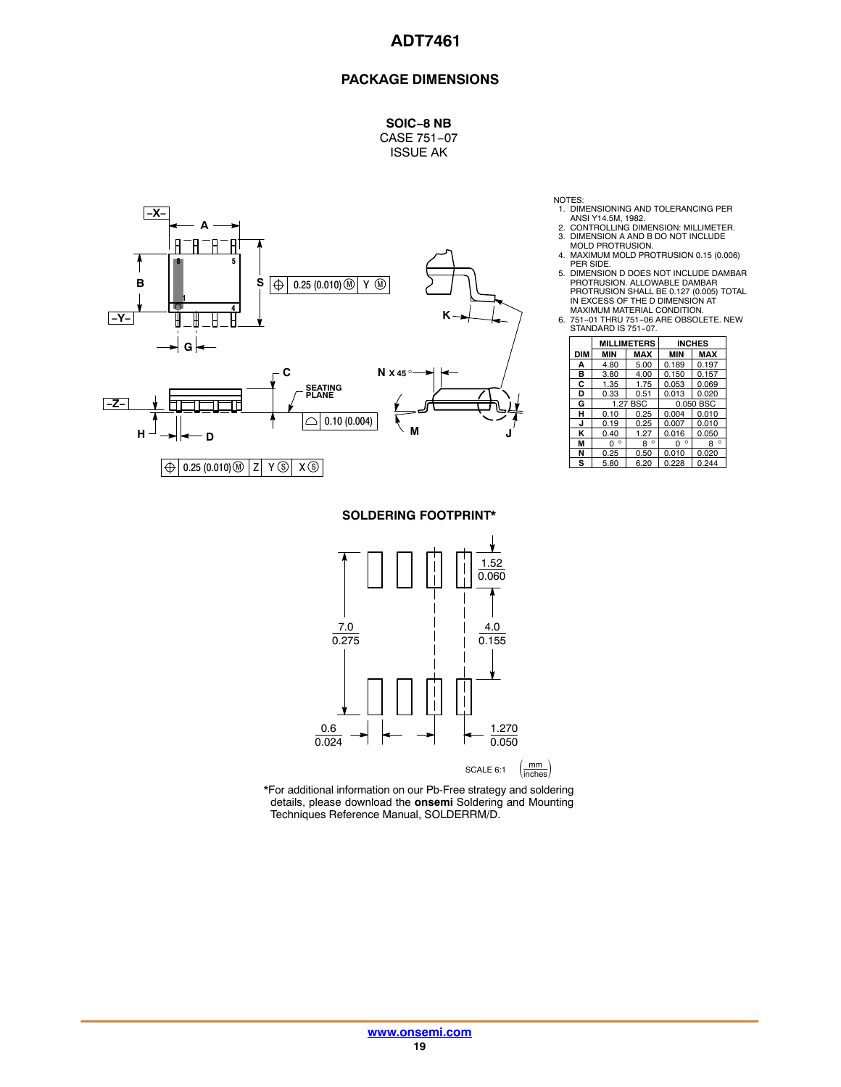## **PACKAGE DIMENSIONS**

**SOIC−8 NB** CASE 751−07 ISSUE AK



NOTES:

- 
- 1. DIMENSIONING AND TOLERANCING PER<br>ANSI Y14.5M, 1982.<br>2. CONTROLLING DIMENSION: MILLIMETER.<br>3. DIMENSION A AND B DO NOT INCLUDE<br>MOLD PROTRUSION.<br>4. MAXIMUM MOLD PROTRUSION 0.15 (0.006)
- 
- PER SIDE. 5. DIMENSION D DOES NOT INCLUDE DAMBAR<br>PROTRUSION. ALLOWABLE DAMBAR<br>PROTRUSION SHALL BE 0.127 (0.005) TOTAL<br>IN EXCESS OF THE D DIMENSION AT<br>MAXIMUM MATERIAL CONDITION.<br>6. 751–01 THRIU 751–07.<br>STANDARD IS 751–07.
- 

|     | <b>MILLIMETERS</b>       |              |              | <b>INCHES</b> |  |  |  |
|-----|--------------------------|--------------|--------------|---------------|--|--|--|
| DIM | <b>MAX</b><br><b>MIN</b> |              | <b>MIN</b>   | <b>MAX</b>    |  |  |  |
| А   | 4.80                     | 5.00         |              | 0.197         |  |  |  |
| B   | 3.80                     | 4.00         | 0.150        | 0.157         |  |  |  |
| C   | 1.35                     | 1.75         | 0.053        | 0.069         |  |  |  |
| D   | 0.33<br>0.51             |              | 0.013        | 0.020         |  |  |  |
| G   |                          | 1.27 BSC     | 0.050 BSC    |               |  |  |  |
| н   | 0.10                     | 0.25         | 0.004        | 0.010         |  |  |  |
| J   | 0.19                     | 0.25         | 0.007        | 0.010         |  |  |  |
| κ   | 0.40                     | 1.27         | 0.016        | 0.050         |  |  |  |
| М   | $\circ$<br>U             | $\circ$<br>8 | $\circ$<br>O | ۰<br>8        |  |  |  |
| N   | 0.25                     | 0.50         | 0.010        | 0.020         |  |  |  |
| s   | 5.80                     | 6.20         | 0.228        | 0.244         |  |  |  |

**SOLDERING FOOTPRINT\***